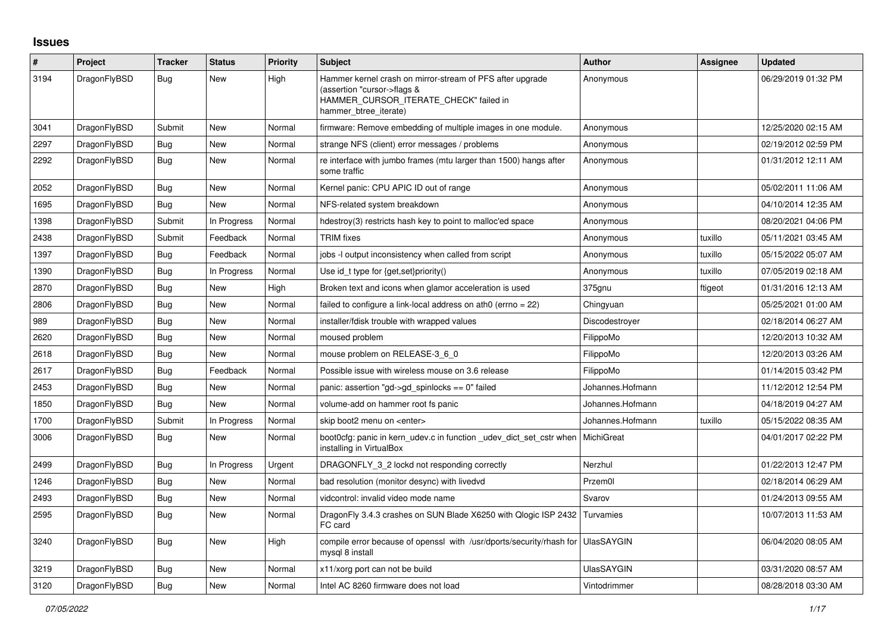## **Issues**

| #    | Project      | <b>Tracker</b> | <b>Status</b> | <b>Priority</b> | <b>Subject</b>                                                                                                                                              | <b>Author</b>     | Assignee | <b>Updated</b>      |
|------|--------------|----------------|---------------|-----------------|-------------------------------------------------------------------------------------------------------------------------------------------------------------|-------------------|----------|---------------------|
| 3194 | DragonFlyBSD | <b>Bug</b>     | New           | High            | Hammer kernel crash on mirror-stream of PFS after upgrade<br>(assertion "cursor->flags &<br>HAMMER_CURSOR_ITERATE_CHECK" failed in<br>hammer btree iterate) | Anonymous         |          | 06/29/2019 01:32 PM |
| 3041 | DragonFlyBSD | Submit         | New           | Normal          | firmware: Remove embedding of multiple images in one module.                                                                                                | Anonymous         |          | 12/25/2020 02:15 AM |
| 2297 | DragonFlyBSD | <b>Bug</b>     | New           | Normal          | strange NFS (client) error messages / problems                                                                                                              | Anonymous         |          | 02/19/2012 02:59 PM |
| 2292 | DragonFlyBSD | Bug            | New           | Normal          | re interface with jumbo frames (mtu larger than 1500) hangs after<br>some traffic                                                                           | Anonymous         |          | 01/31/2012 12:11 AM |
| 2052 | DragonFlyBSD | <b>Bug</b>     | New           | Normal          | Kernel panic: CPU APIC ID out of range                                                                                                                      | Anonymous         |          | 05/02/2011 11:06 AM |
| 1695 | DragonFlyBSD | <b>Bug</b>     | New           | Normal          | NFS-related system breakdown                                                                                                                                | Anonymous         |          | 04/10/2014 12:35 AM |
| 1398 | DragonFlyBSD | Submit         | In Progress   | Normal          | hdestroy(3) restricts hash key to point to malloc'ed space                                                                                                  | Anonymous         |          | 08/20/2021 04:06 PM |
| 2438 | DragonFlyBSD | Submit         | Feedback      | Normal          | <b>TRIM</b> fixes                                                                                                                                           | Anonymous         | tuxillo  | 05/11/2021 03:45 AM |
| 1397 | DragonFlyBSD | <b>Bug</b>     | Feedback      | Normal          | jobs -I output inconsistency when called from script                                                                                                        | Anonymous         | tuxillo  | 05/15/2022 05:07 AM |
| 1390 | DragonFlyBSD | Bug            | In Progress   | Normal          | Use id_t type for {get, set}priority()                                                                                                                      | Anonymous         | tuxillo  | 07/05/2019 02:18 AM |
| 2870 | DragonFlyBSD | <b>Bug</b>     | New           | High            | Broken text and icons when glamor acceleration is used                                                                                                      | 375gnu            | ftigeot  | 01/31/2016 12:13 AM |
| 2806 | DragonFlyBSD | <b>Bug</b>     | <b>New</b>    | Normal          | failed to configure a link-local address on ath0 (errno = 22)                                                                                               | Chingyuan         |          | 05/25/2021 01:00 AM |
| 989  | DragonFlyBSD | <b>Bug</b>     | New           | Normal          | installer/fdisk trouble with wrapped values                                                                                                                 | Discodestroyer    |          | 02/18/2014 06:27 AM |
| 2620 | DragonFlyBSD | Bug            | New           | Normal          | moused problem                                                                                                                                              | FilippoMo         |          | 12/20/2013 10:32 AM |
| 2618 | DragonFlyBSD | <b>Bug</b>     | New           | Normal          | mouse problem on RELEASE-3_6_0                                                                                                                              | FilippoMo         |          | 12/20/2013 03:26 AM |
| 2617 | DragonFlyBSD | Bug            | Feedback      | Normal          | Possible issue with wireless mouse on 3.6 release                                                                                                           | FilippoMo         |          | 01/14/2015 03:42 PM |
| 2453 | DragonFlyBSD | <b>Bug</b>     | New           | Normal          | panic: assertion "gd->gd spinlocks == $0$ " failed                                                                                                          | Johannes.Hofmann  |          | 11/12/2012 12:54 PM |
| 1850 | DragonFlyBSD | Bug            | New           | Normal          | volume-add on hammer root fs panic                                                                                                                          | Johannes.Hofmann  |          | 04/18/2019 04:27 AM |
| 1700 | DragonFlyBSD | Submit         | In Progress   | Normal          | skip boot2 menu on <enter></enter>                                                                                                                          | Johannes.Hofmann  | tuxillo  | 05/15/2022 08:35 AM |
| 3006 | DragonFlyBSD | <b>Bug</b>     | <b>New</b>    | Normal          | boot0cfg: panic in kern udev.c in function udev dict set cstr when<br>installing in VirtualBox                                                              | MichiGreat        |          | 04/01/2017 02:22 PM |
| 2499 | DragonFlyBSD | <b>Bug</b>     | In Progress   | Urgent          | DRAGONFLY 3 2 lockd not responding correctly                                                                                                                | Nerzhul           |          | 01/22/2013 12:47 PM |
| 1246 | DragonFlyBSD | Bug            | New           | Normal          | bad resolution (monitor desync) with livedvd                                                                                                                | Przem0l           |          | 02/18/2014 06:29 AM |
| 2493 | DragonFlyBSD | Bug            | New           | Normal          | vidcontrol: invalid video mode name                                                                                                                         | Svarov            |          | 01/24/2013 09:55 AM |
| 2595 | DragonFlyBSD | Bug            | <b>New</b>    | Normal          | DragonFly 3.4.3 crashes on SUN Blade X6250 with Qlogic ISP 2432<br>FC card                                                                                  | Turvamies         |          | 10/07/2013 11:53 AM |
| 3240 | DragonFlyBSD | <b>Bug</b>     | New           | High            | compile error because of openssl with /usr/dports/security/rhash for UlasSAYGIN<br>mysql 8 install                                                          |                   |          | 06/04/2020 08:05 AM |
| 3219 | DragonFlyBSD | Bug            | New           | Normal          | x11/xorg port can not be build                                                                                                                              | <b>UlasSAYGIN</b> |          | 03/31/2020 08:57 AM |
| 3120 | DragonFlyBSD | Bug            | New           | Normal          | Intel AC 8260 firmware does not load                                                                                                                        | Vintodrimmer      |          | 08/28/2018 03:30 AM |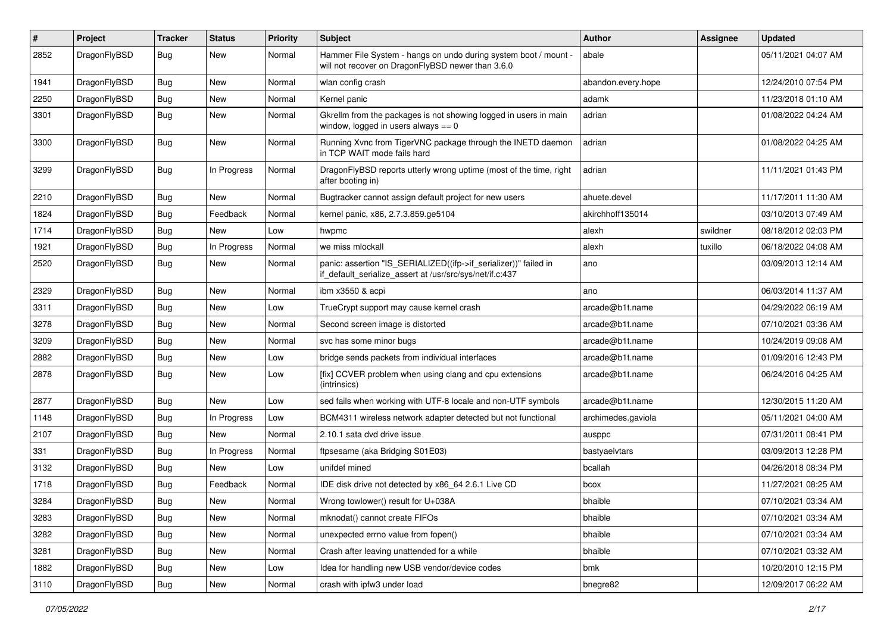| $\pmb{\#}$ | Project      | <b>Tracker</b> | <b>Status</b> | <b>Priority</b> | Subject                                                                                                                      | <b>Author</b>      | Assignee | <b>Updated</b>      |
|------------|--------------|----------------|---------------|-----------------|------------------------------------------------------------------------------------------------------------------------------|--------------------|----------|---------------------|
| 2852       | DragonFlyBSD | Bug            | New           | Normal          | Hammer File System - hangs on undo during system boot / mount -<br>will not recover on DragonFlyBSD newer than 3.6.0         | abale              |          | 05/11/2021 04:07 AM |
| 1941       | DragonFlyBSD | <b>Bug</b>     | <b>New</b>    | Normal          | wlan config crash                                                                                                            | abandon.every.hope |          | 12/24/2010 07:54 PM |
| 2250       | DragonFlyBSD | Bug            | New           | Normal          | Kernel panic                                                                                                                 | adamk              |          | 11/23/2018 01:10 AM |
| 3301       | DragonFlyBSD | Bug            | New           | Normal          | Gkrellm from the packages is not showing logged in users in main<br>window, logged in users always $== 0$                    | adrian             |          | 01/08/2022 04:24 AM |
| 3300       | DragonFlyBSD | Bug            | New           | Normal          | Running Xvnc from TigerVNC package through the INETD daemon<br>in TCP WAIT mode fails hard                                   | adrian             |          | 01/08/2022 04:25 AM |
| 3299       | DragonFlyBSD | Bug            | In Progress   | Normal          | DragonFlyBSD reports utterly wrong uptime (most of the time, right<br>after booting in)                                      | adrian             |          | 11/11/2021 01:43 PM |
| 2210       | DragonFlyBSD | <b>Bug</b>     | New           | Normal          | Bugtracker cannot assign default project for new users                                                                       | ahuete.devel       |          | 11/17/2011 11:30 AM |
| 1824       | DragonFlyBSD | Bug            | Feedback      | Normal          | kernel panic, x86, 2.7.3.859.ge5104                                                                                          | akirchhoff135014   |          | 03/10/2013 07:49 AM |
| 1714       | DragonFlyBSD | Bug            | <b>New</b>    | Low             | hwpmc                                                                                                                        | alexh              | swildner | 08/18/2012 02:03 PM |
| 1921       | DragonFlyBSD | Bug            | In Progress   | Normal          | we miss mlockall                                                                                                             | alexh              | tuxillo  | 06/18/2022 04:08 AM |
| 2520       | DragonFlyBSD | Bug            | <b>New</b>    | Normal          | panic: assertion "IS_SERIALIZED((ifp->if_serializer))" failed in<br>if_default_serialize_assert at /usr/src/sys/net/if.c:437 | ano                |          | 03/09/2013 12:14 AM |
| 2329       | DragonFlyBSD | Bug            | <b>New</b>    | Normal          | ibm x3550 & acpi                                                                                                             | ano                |          | 06/03/2014 11:37 AM |
| 3311       | DragonFlyBSD | Bug            | New           | Low             | TrueCrypt support may cause kernel crash                                                                                     | arcade@b1t.name    |          | 04/29/2022 06:19 AM |
| 3278       | DragonFlyBSD | Bug            | New           | Normal          | Second screen image is distorted                                                                                             | arcade@b1t.name    |          | 07/10/2021 03:36 AM |
| 3209       | DragonFlyBSD | Bug            | <b>New</b>    | Normal          | svc has some minor bugs                                                                                                      | arcade@b1t.name    |          | 10/24/2019 09:08 AM |
| 2882       | DragonFlyBSD | <b>Bug</b>     | <b>New</b>    | Low             | bridge sends packets from individual interfaces                                                                              | arcade@b1t.name    |          | 01/09/2016 12:43 PM |
| 2878       | DragonFlyBSD | Bug            | New           | Low             | [fix] CCVER problem when using clang and cpu extensions<br>(intrinsics)                                                      | arcade@b1t.name    |          | 06/24/2016 04:25 AM |
| 2877       | DragonFlyBSD | Bug            | New           | Low             | sed fails when working with UTF-8 locale and non-UTF symbols                                                                 | arcade@b1t.name    |          | 12/30/2015 11:20 AM |
| 1148       | DragonFlyBSD | Bug            | In Progress   | Low             | BCM4311 wireless network adapter detected but not functional                                                                 | archimedes.gaviola |          | 05/11/2021 04:00 AM |
| 2107       | DragonFlyBSD | Bug            | New           | Normal          | 2.10.1 sata dvd drive issue                                                                                                  | ausppc             |          | 07/31/2011 08:41 PM |
| 331        | DragonFlyBSD | <b>Bug</b>     | In Progress   | Normal          | ftpsesame (aka Bridging S01E03)                                                                                              | bastyaelvtars      |          | 03/09/2013 12:28 PM |
| 3132       | DragonFlyBSD | Bug            | New           | Low             | unifdef mined                                                                                                                | bcallah            |          | 04/26/2018 08:34 PM |
| 1718       | DragonFlyBSD | <b>Bug</b>     | Feedback      | Normal          | IDE disk drive not detected by x86 64 2.6.1 Live CD                                                                          | bcox               |          | 11/27/2021 08:25 AM |
| 3284       | DragonFlyBSD | Bug            | New           | Normal          | Wrong towlower() result for U+038A                                                                                           | bhaible            |          | 07/10/2021 03:34 AM |
| 3283       | DragonFlyBSD | <b>Bug</b>     | New           | Normal          | mknodat() cannot create FIFOs                                                                                                | bhaible            |          | 07/10/2021 03:34 AM |
| 3282       | DragonFlyBSD | <b>Bug</b>     | New           | Normal          | unexpected errno value from fopen()                                                                                          | bhaible            |          | 07/10/2021 03:34 AM |
| 3281       | DragonFlyBSD | <b>Bug</b>     | New           | Normal          | Crash after leaving unattended for a while                                                                                   | bhaible            |          | 07/10/2021 03:32 AM |
| 1882       | DragonFlyBSD | Bug            | New           | Low             | Idea for handling new USB vendor/device codes                                                                                | bmk                |          | 10/20/2010 12:15 PM |
| 3110       | DragonFlyBSD | Bug            | New           | Normal          | crash with ipfw3 under load                                                                                                  | bnegre82           |          | 12/09/2017 06:22 AM |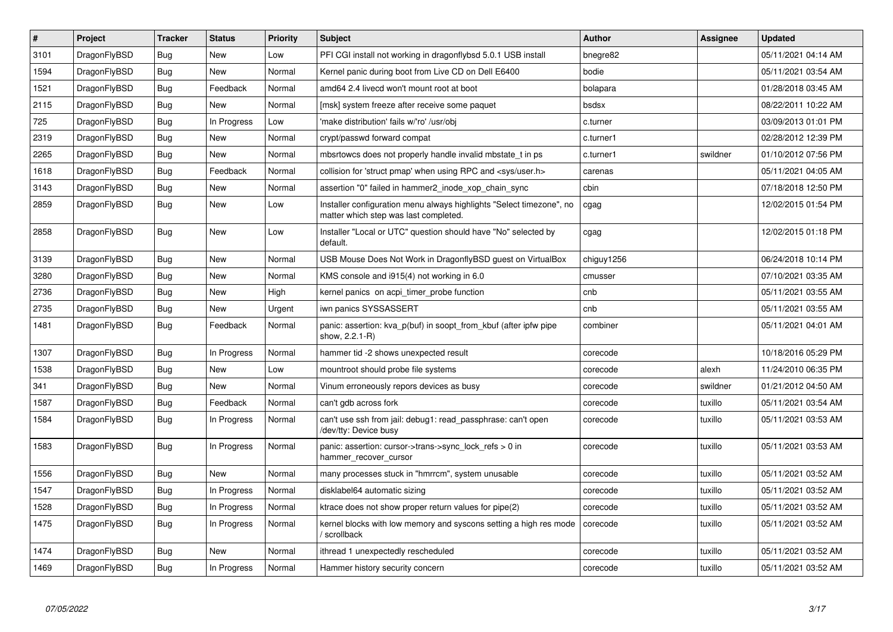| $\vert$ # | <b>Project</b> | <b>Tracker</b> | <b>Status</b> | <b>Priority</b> | <b>Subject</b>                                                                                                | Author     | Assignee | <b>Updated</b>      |
|-----------|----------------|----------------|---------------|-----------------|---------------------------------------------------------------------------------------------------------------|------------|----------|---------------------|
| 3101      | DragonFlyBSD   | <b>Bug</b>     | <b>New</b>    | Low             | PFI CGI install not working in dragonflybsd 5.0.1 USB install                                                 | bnegre82   |          | 05/11/2021 04:14 AM |
| 1594      | DragonFlyBSD   | Bug            | <b>New</b>    | Normal          | Kernel panic during boot from Live CD on Dell E6400                                                           | bodie      |          | 05/11/2021 03:54 AM |
| 1521      | DragonFlyBSD   | <b>Bug</b>     | Feedback      | Normal          | amd64 2.4 livecd won't mount root at boot                                                                     | bolapara   |          | 01/28/2018 03:45 AM |
| 2115      | DragonFlyBSD   | Bug            | <b>New</b>    | Normal          | [msk] system freeze after receive some paquet                                                                 | bsdsx      |          | 08/22/2011 10:22 AM |
| 725       | DragonFlyBSD   | <b>Bug</b>     | In Progress   | Low             | 'make distribution' fails w/'ro' /usr/obj                                                                     | c.turner   |          | 03/09/2013 01:01 PM |
| 2319      | DragonFlyBSD   | <b>Bug</b>     | <b>New</b>    | Normal          | crypt/passwd forward compat                                                                                   | c.turner1  |          | 02/28/2012 12:39 PM |
| 2265      | DragonFlyBSD   | <b>Bug</b>     | <b>New</b>    | Normal          | mbsrtowcs does not properly handle invalid mbstate t in ps                                                    | c.turner1  | swildner | 01/10/2012 07:56 PM |
| 1618      | DragonFlyBSD   | <b>Bug</b>     | Feedback      | Normal          | collision for 'struct pmap' when using RPC and <sys user.h=""></sys>                                          | carenas    |          | 05/11/2021 04:05 AM |
| 3143      | DragonFlyBSD   | <b>Bug</b>     | <b>New</b>    | Normal          | assertion "0" failed in hammer2_inode_xop_chain_sync                                                          | cbin       |          | 07/18/2018 12:50 PM |
| 2859      | DragonFlyBSD   | <b>Bug</b>     | New           | Low             | Installer configuration menu always highlights "Select timezone", no<br>matter which step was last completed. | cgag       |          | 12/02/2015 01:54 PM |
| 2858      | DragonFlyBSD   | <b>Bug</b>     | <b>New</b>    | Low             | Installer "Local or UTC" question should have "No" selected by<br>default.                                    | cgag       |          | 12/02/2015 01:18 PM |
| 3139      | DragonFlyBSD   | <b>Bug</b>     | <b>New</b>    | Normal          | USB Mouse Does Not Work in DragonflyBSD guest on VirtualBox                                                   | chiguy1256 |          | 06/24/2018 10:14 PM |
| 3280      | DragonFlyBSD   | <b>Bug</b>     | <b>New</b>    | Normal          | KMS console and i915(4) not working in 6.0                                                                    | cmusser    |          | 07/10/2021 03:35 AM |
| 2736      | DragonFlyBSD   | Bug            | <b>New</b>    | High            | kernel panics on acpi timer probe function                                                                    | cnb        |          | 05/11/2021 03:55 AM |
| 2735      | DragonFlyBSD   | Bug            | <b>New</b>    | Urgent          | iwn panics SYSSASSERT                                                                                         | cnb        |          | 05/11/2021 03:55 AM |
| 1481      | DragonFlyBSD   | <b>Bug</b>     | Feedback      | Normal          | panic: assertion: kva p(buf) in soopt from kbuf (after ipfw pipe<br>show, 2.2.1-R)                            | combiner   |          | 05/11/2021 04:01 AM |
| 1307      | DragonFlyBSD   | <b>Bug</b>     | In Progress   | Normal          | hammer tid -2 shows unexpected result                                                                         | corecode   |          | 10/18/2016 05:29 PM |
| 1538      | DragonFlyBSD   | <b>Bug</b>     | <b>New</b>    | Low             | mountroot should probe file systems                                                                           | corecode   | alexh    | 11/24/2010 06:35 PM |
| 341       | DragonFlyBSD   | <b>Bug</b>     | <b>New</b>    | Normal          | Vinum erroneously repors devices as busy                                                                      | corecode   | swildner | 01/21/2012 04:50 AM |
| 1587      | DragonFlyBSD   | <b>Bug</b>     | Feedback      | Normal          | can't gdb across fork                                                                                         | corecode   | tuxillo  | 05/11/2021 03:54 AM |
| 1584      | DragonFlyBSD   | Bug            | In Progress   | Normal          | can't use ssh from jail: debug1: read_passphrase: can't open<br>/dev/tty: Device busy                         | corecode   | tuxillo  | 05/11/2021 03:53 AM |
| 1583      | DragonFlyBSD   | <b>Bug</b>     | In Progress   | Normal          | panic: assertion: cursor->trans->sync lock refs $> 0$ in<br>hammer_recover_cursor                             | corecode   | tuxillo  | 05/11/2021 03:53 AM |
| 1556      | DragonFlyBSD   | <b>Bug</b>     | <b>New</b>    | Normal          | many processes stuck in "hmrrcm", system unusable                                                             | corecode   | tuxillo  | 05/11/2021 03:52 AM |
| 1547      | DragonFlyBSD   | <b>Bug</b>     | In Progress   | Normal          | disklabel64 automatic sizing                                                                                  | corecode   | tuxillo  | 05/11/2021 03:52 AM |
| 1528      | DragonFlyBSD   | Bug            | In Progress   | Normal          | ktrace does not show proper return values for pipe(2)                                                         | corecode   | tuxillo  | 05/11/2021 03:52 AM |
| 1475      | DragonFlyBSD   | Bug            | In Progress   | Normal          | kernel blocks with low memory and syscons setting a high res mode<br>/ scrollback                             | corecode   | tuxillo  | 05/11/2021 03:52 AM |
| 1474      | DragonFlyBSD   | <b>Bug</b>     | <b>New</b>    | Normal          | ithread 1 unexpectedly rescheduled                                                                            | corecode   | tuxillo  | 05/11/2021 03:52 AM |
| 1469      | DragonFlyBSD   | Bug            | In Progress   | Normal          | Hammer history security concern                                                                               | corecode   | tuxillo  | 05/11/2021 03:52 AM |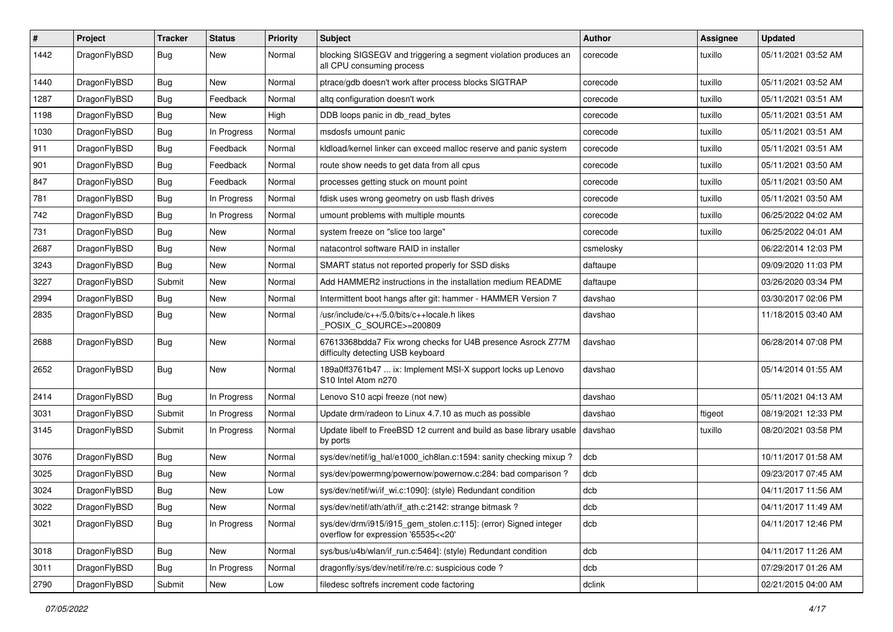| ∦    | Project      | <b>Tracker</b> | <b>Status</b> | <b>Priority</b> | Subject                                                                                                | Author    | <b>Assignee</b> | <b>Updated</b>      |
|------|--------------|----------------|---------------|-----------------|--------------------------------------------------------------------------------------------------------|-----------|-----------------|---------------------|
| 1442 | DragonFlyBSD | <b>Bug</b>     | New           | Normal          | blocking SIGSEGV and triggering a segment violation produces an<br>all CPU consuming process           | corecode  | tuxillo         | 05/11/2021 03:52 AM |
| 1440 | DragonFlyBSD | <b>Bug</b>     | New           | Normal          | ptrace/gdb doesn't work after process blocks SIGTRAP                                                   | corecode  | tuxillo         | 05/11/2021 03:52 AM |
| 1287 | DragonFlyBSD | Bug            | Feedback      | Normal          | altg configuration doesn't work                                                                        | corecode  | tuxillo         | 05/11/2021 03:51 AM |
| 1198 | DragonFlyBSD | <b>Bug</b>     | New           | High            | DDB loops panic in db_read_bytes                                                                       | corecode  | tuxillo         | 05/11/2021 03:51 AM |
| 1030 | DragonFlyBSD | <b>Bug</b>     | In Progress   | Normal          | msdosfs umount panic                                                                                   | corecode  | tuxillo         | 05/11/2021 03:51 AM |
| 911  | DragonFlyBSD | Bug            | Feedback      | Normal          | kldload/kernel linker can exceed malloc reserve and panic system                                       | corecode  | tuxillo         | 05/11/2021 03:51 AM |
| 901  | DragonFlyBSD | <b>Bug</b>     | Feedback      | Normal          | route show needs to get data from all cpus                                                             | corecode  | tuxillo         | 05/11/2021 03:50 AM |
| 847  | DragonFlyBSD | <b>Bug</b>     | Feedback      | Normal          | processes getting stuck on mount point                                                                 | corecode  | tuxillo         | 05/11/2021 03:50 AM |
| 781  | DragonFlyBSD | <b>Bug</b>     | In Progress   | Normal          | fdisk uses wrong geometry on usb flash drives                                                          | corecode  | tuxillo         | 05/11/2021 03:50 AM |
| 742  | DragonFlyBSD | <b>Bug</b>     | In Progress   | Normal          | umount problems with multiple mounts                                                                   | corecode  | tuxillo         | 06/25/2022 04:02 AM |
| 731  | DragonFlyBSD | Bug            | New           | Normal          | system freeze on "slice too large"                                                                     | corecode  | tuxillo         | 06/25/2022 04:01 AM |
| 2687 | DragonFlyBSD | Bug            | New           | Normal          | natacontrol software RAID in installer                                                                 | csmelosky |                 | 06/22/2014 12:03 PM |
| 3243 | DragonFlyBSD | Bug            | <b>New</b>    | Normal          | SMART status not reported properly for SSD disks                                                       | daftaupe  |                 | 09/09/2020 11:03 PM |
| 3227 | DragonFlyBSD | Submit         | <b>New</b>    | Normal          | Add HAMMER2 instructions in the installation medium README                                             | daftaupe  |                 | 03/26/2020 03:34 PM |
| 2994 | DragonFlyBSD | <b>Bug</b>     | <b>New</b>    | Normal          | Intermittent boot hangs after git: hammer - HAMMER Version 7                                           | davshao   |                 | 03/30/2017 02:06 PM |
| 2835 | DragonFlyBSD | Bug            | New           | Normal          | /usr/include/c++/5.0/bits/c++locale.h likes<br>POSIX C_SOURCE>=200809                                  | davshao   |                 | 11/18/2015 03:40 AM |
| 2688 | DragonFlyBSD | Bug            | <b>New</b>    | Normal          | 67613368bdda7 Fix wrong checks for U4B presence Asrock Z77M<br>difficulty detecting USB keyboard       | davshao   |                 | 06/28/2014 07:08 PM |
| 2652 | DragonFlyBSD | Bug            | New           | Normal          | 189a0ff3761b47  ix: Implement MSI-X support locks up Lenovo<br>S10 Intel Atom n270                     | davshao   |                 | 05/14/2014 01:55 AM |
| 2414 | DragonFlyBSD | Bug            | In Progress   | Normal          | Lenovo S10 acpi freeze (not new)                                                                       | davshao   |                 | 05/11/2021 04:13 AM |
| 3031 | DragonFlyBSD | Submit         | In Progress   | Normal          | Update drm/radeon to Linux 4.7.10 as much as possible                                                  | davshao   | ftigeot         | 08/19/2021 12:33 PM |
| 3145 | DragonFlyBSD | Submit         | In Progress   | Normal          | Update libelf to FreeBSD 12 current and build as base library usable<br>by ports                       | davshao   | tuxillo         | 08/20/2021 03:58 PM |
| 3076 | DragonFlyBSD | <b>Bug</b>     | New           | Normal          | sys/dev/netif/ig hal/e1000 ich8lan.c:1594: sanity checking mixup?                                      | dcb       |                 | 10/11/2017 01:58 AM |
| 3025 | DragonFlyBSD | <b>Bug</b>     | <b>New</b>    | Normal          | sys/dev/powermng/powernow/powernow.c:284: bad comparison?                                              | dcb       |                 | 09/23/2017 07:45 AM |
| 3024 | DragonFlyBSD | <b>Bug</b>     | <b>New</b>    | Low             | sys/dev/netif/wi/if_wi.c:1090]: (style) Redundant condition                                            | dcb       |                 | 04/11/2017 11:56 AM |
| 3022 | DragonFlyBSD | <b>Bug</b>     | New           | Normal          | sys/dev/netif/ath/ath/if_ath.c:2142: strange bitmask?                                                  | dcb       |                 | 04/11/2017 11:49 AM |
| 3021 | DragonFlyBSD | <b>Bug</b>     | In Progress   | Normal          | sys/dev/drm/i915/i915_gem_stolen.c:115]: (error) Signed integer<br>overflow for expression '65535<<20' | dcb       |                 | 04/11/2017 12:46 PM |
| 3018 | DragonFlyBSD | <b>Bug</b>     | New           | Normal          | sys/bus/u4b/wlan/if_run.c:5464]: (style) Redundant condition                                           | dcb       |                 | 04/11/2017 11:26 AM |
| 3011 | DragonFlyBSD | <b>Bug</b>     | In Progress   | Normal          | dragonfly/sys/dev/netif/re/re.c: suspicious code?                                                      | dcb       |                 | 07/29/2017 01:26 AM |
| 2790 | DragonFlyBSD | Submit         | New           | Low             | filedesc softrefs increment code factoring                                                             | dclink    |                 | 02/21/2015 04:00 AM |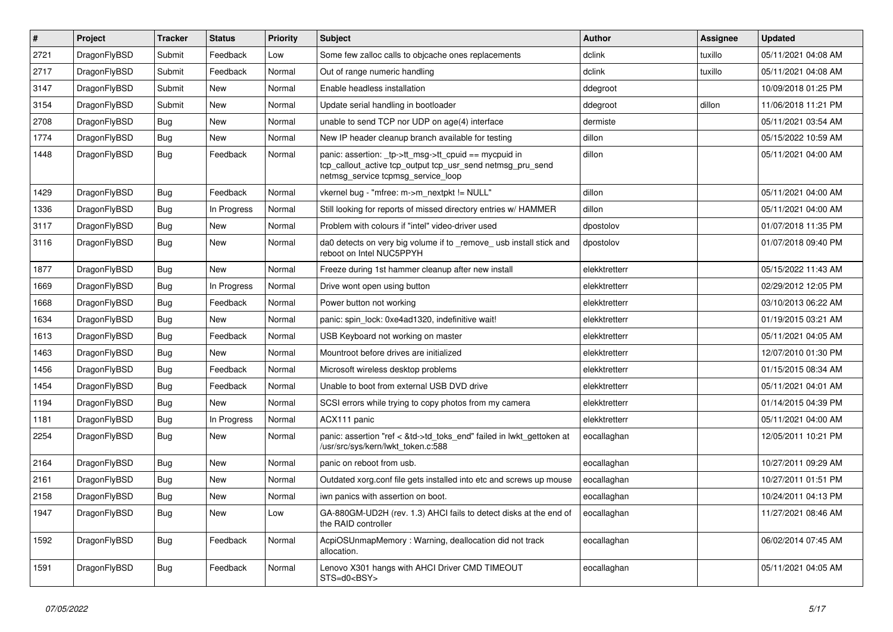| $\vert$ # | Project      | <b>Tracker</b> | <b>Status</b> | <b>Priority</b> | <b>Subject</b>                                                                                                                                            | <b>Author</b> | <b>Assignee</b> | <b>Updated</b>      |
|-----------|--------------|----------------|---------------|-----------------|-----------------------------------------------------------------------------------------------------------------------------------------------------------|---------------|-----------------|---------------------|
| 2721      | DragonFlyBSD | Submit         | Feedback      | Low             | Some few zalloc calls to objcache ones replacements                                                                                                       | dclink        | tuxillo         | 05/11/2021 04:08 AM |
| 2717      | DragonFlyBSD | Submit         | Feedback      | Normal          | Out of range numeric handling                                                                                                                             | dclink        | tuxillo         | 05/11/2021 04:08 AM |
| 3147      | DragonFlyBSD | Submit         | <b>New</b>    | Normal          | Enable headless installation                                                                                                                              | ddegroot      |                 | 10/09/2018 01:25 PM |
| 3154      | DragonFlyBSD | Submit         | <b>New</b>    | Normal          | Update serial handling in bootloader                                                                                                                      | ddegroot      | dillon          | 11/06/2018 11:21 PM |
| 2708      | DragonFlyBSD | <b>Bug</b>     | <b>New</b>    | Normal          | unable to send TCP nor UDP on age(4) interface                                                                                                            | dermiste      |                 | 05/11/2021 03:54 AM |
| 1774      | DragonFlyBSD | <b>Bug</b>     | <b>New</b>    | Normal          | New IP header cleanup branch available for testing                                                                                                        | dillon        |                 | 05/15/2022 10:59 AM |
| 1448      | DragonFlyBSD | Bug            | Feedback      | Normal          | panic: assertion: _tp->tt_msg->tt_cpuid == mycpuid in<br>tcp_callout_active tcp_output tcp_usr_send netmsg_pru_send<br>netmsg_service tcpmsg_service_loop | dillon        |                 | 05/11/2021 04:00 AM |
| 1429      | DragonFlyBSD | Bug            | Feedback      | Normal          | vkernel bug - "mfree: m->m_nextpkt != NULL"                                                                                                               | dillon        |                 | 05/11/2021 04:00 AM |
| 1336      | DragonFlyBSD | <b>Bug</b>     | In Progress   | Normal          | Still looking for reports of missed directory entries w/ HAMMER                                                                                           | dillon        |                 | 05/11/2021 04:00 AM |
| 3117      | DragonFlyBSD | Bug            | <b>New</b>    | Normal          | Problem with colours if "intel" video-driver used                                                                                                         | dpostolov     |                 | 01/07/2018 11:35 PM |
| 3116      | DragonFlyBSD | Bug            | <b>New</b>    | Normal          | da0 detects on very big volume if to _remove_ usb install stick and<br>reboot on Intel NUC5PPYH                                                           | dpostolov     |                 | 01/07/2018 09:40 PM |
| 1877      | DragonFlyBSD | Bug            | <b>New</b>    | Normal          | Freeze during 1st hammer cleanup after new install                                                                                                        | elekktretterr |                 | 05/15/2022 11:43 AM |
| 1669      | DragonFlyBSD | <b>Bug</b>     | In Progress   | Normal          | Drive wont open using button                                                                                                                              | elekktretterr |                 | 02/29/2012 12:05 PM |
| 1668      | DragonFlyBSD | <b>Bug</b>     | Feedback      | Normal          | Power button not working                                                                                                                                  | elekktretterr |                 | 03/10/2013 06:22 AM |
| 1634      | DragonFlyBSD | <b>Bug</b>     | <b>New</b>    | Normal          | panic: spin_lock: 0xe4ad1320, indefinitive wait!                                                                                                          | elekktretterr |                 | 01/19/2015 03:21 AM |
| 1613      | DragonFlyBSD | <b>Bug</b>     | Feedback      | Normal          | USB Keyboard not working on master                                                                                                                        | elekktretterr |                 | 05/11/2021 04:05 AM |
| 1463      | DragonFlyBSD | Bug            | <b>New</b>    | Normal          | Mountroot before drives are initialized                                                                                                                   | elekktretterr |                 | 12/07/2010 01:30 PM |
| 1456      | DragonFlyBSD | <b>Bug</b>     | Feedback      | Normal          | Microsoft wireless desktop problems                                                                                                                       | elekktretterr |                 | 01/15/2015 08:34 AM |
| 1454      | DragonFlyBSD | <b>Bug</b>     | Feedback      | Normal          | Unable to boot from external USB DVD drive                                                                                                                | elekktretterr |                 | 05/11/2021 04:01 AM |
| 1194      | DragonFlyBSD | <b>Bug</b>     | <b>New</b>    | Normal          | SCSI errors while trying to copy photos from my camera                                                                                                    | elekktretterr |                 | 01/14/2015 04:39 PM |
| 1181      | DragonFlyBSD | <b>Bug</b>     | In Progress   | Normal          | ACX111 panic                                                                                                                                              | elekktretterr |                 | 05/11/2021 04:00 AM |
| 2254      | DragonFlyBSD | Bug            | New           | Normal          | panic: assertion "ref < &td->td_toks_end" failed in lwkt_gettoken at<br>/usr/src/sys/kern/lwkt_token.c:588                                                | eocallaghan   |                 | 12/05/2011 10:21 PM |
| 2164      | DragonFlyBSD | <b>Bug</b>     | <b>New</b>    | Normal          | panic on reboot from usb.                                                                                                                                 | eocallaghan   |                 | 10/27/2011 09:29 AM |
| 2161      | DragonFlyBSD | Bug            | <b>New</b>    | Normal          | Outdated xorg.conf file gets installed into etc and screws up mouse                                                                                       | eocallaghan   |                 | 10/27/2011 01:51 PM |
| 2158      | DragonFlyBSD | <b>Bug</b>     | <b>New</b>    | Normal          | iwn panics with assertion on boot.                                                                                                                        | eocallaghan   |                 | 10/24/2011 04:13 PM |
| 1947      | DragonFlyBSD | <b>Bug</b>     | New           | Low             | GA-880GM-UD2H (rev. 1.3) AHCI fails to detect disks at the end of<br>the RAID controller                                                                  | eocallaghan   |                 | 11/27/2021 08:46 AM |
| 1592      | DragonFlyBSD | Bug            | Feedback      | Normal          | AcpiOSUnmapMemory: Warning, deallocation did not track<br>allocation.                                                                                     | eocallaghan   |                 | 06/02/2014 07:45 AM |
| 1591      | DragonFlyBSD | <b>Bug</b>     | Feedback      | Normal          | Lenovo X301 hangs with AHCI Driver CMD TIMEOUT<br>STS=d0 <bsy></bsy>                                                                                      | eocallaghan   |                 | 05/11/2021 04:05 AM |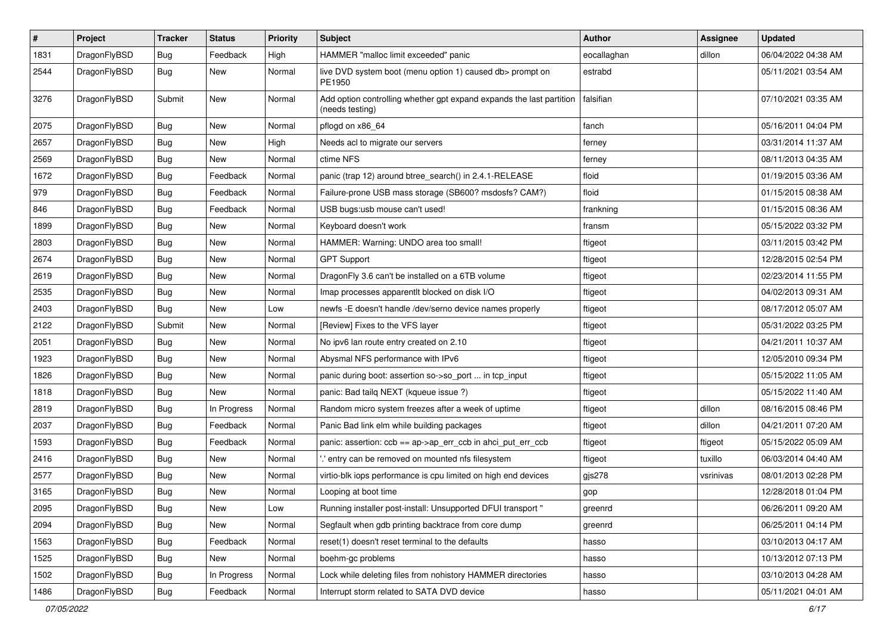| $\pmb{\#}$ | Project      | <b>Tracker</b> | <b>Status</b> | <b>Priority</b> | Subject                                                                                 | <b>Author</b> | Assignee  | <b>Updated</b>      |
|------------|--------------|----------------|---------------|-----------------|-----------------------------------------------------------------------------------------|---------------|-----------|---------------------|
| 1831       | DragonFlyBSD | Bug            | Feedback      | High            | HAMMER "malloc limit exceeded" panic                                                    | eocallaghan   | dillon    | 06/04/2022 04:38 AM |
| 2544       | DragonFlyBSD | Bug            | New           | Normal          | live DVD system boot (menu option 1) caused db> prompt on<br>PE1950                     | estrabd       |           | 05/11/2021 03:54 AM |
| 3276       | DragonFlyBSD | Submit         | <b>New</b>    | Normal          | Add option controlling whether gpt expand expands the last partition<br>(needs testing) | falsifian     |           | 07/10/2021 03:35 AM |
| 2075       | DragonFlyBSD | <b>Bug</b>     | <b>New</b>    | Normal          | pflogd on x86_64                                                                        | fanch         |           | 05/16/2011 04:04 PM |
| 2657       | DragonFlyBSD | Bug            | <b>New</b>    | High            | Needs acl to migrate our servers                                                        | ferney        |           | 03/31/2014 11:37 AM |
| 2569       | DragonFlyBSD | Bug            | New           | Normal          | ctime NFS                                                                               | ferney        |           | 08/11/2013 04:35 AM |
| 1672       | DragonFlyBSD | Bug            | Feedback      | Normal          | panic (trap 12) around btree_search() in 2.4.1-RELEASE                                  | floid         |           | 01/19/2015 03:36 AM |
| 979        | DragonFlyBSD | Bug            | Feedback      | Normal          | Failure-prone USB mass storage (SB600? msdosfs? CAM?)                                   | floid         |           | 01/15/2015 08:38 AM |
| 846        | DragonFlyBSD | Bug            | Feedback      | Normal          | USB bugs:usb mouse can't used!                                                          | frankning     |           | 01/15/2015 08:36 AM |
| 1899       | DragonFlyBSD | <b>Bug</b>     | <b>New</b>    | Normal          | Keyboard doesn't work                                                                   | fransm        |           | 05/15/2022 03:32 PM |
| 2803       | DragonFlyBSD | <b>Bug</b>     | <b>New</b>    | Normal          | HAMMER: Warning: UNDO area too small!                                                   | ftigeot       |           | 03/11/2015 03:42 PM |
| 2674       | DragonFlyBSD | Bug            | New           | Normal          | <b>GPT Support</b>                                                                      | ftigeot       |           | 12/28/2015 02:54 PM |
| 2619       | DragonFlyBSD | Bug            | <b>New</b>    | Normal          | DragonFly 3.6 can't be installed on a 6TB volume                                        | ftigeot       |           | 02/23/2014 11:55 PM |
| 2535       | DragonFlyBSD | Bug            | <b>New</b>    | Normal          | Imap processes apparentlt blocked on disk I/O                                           | ftigeot       |           | 04/02/2013 09:31 AM |
| 2403       | DragonFlyBSD | Bug            | <b>New</b>    | Low             | newfs -E doesn't handle /dev/serno device names properly                                | ftigeot       |           | 08/17/2012 05:07 AM |
| 2122       | DragonFlyBSD | Submit         | <b>New</b>    | Normal          | [Review] Fixes to the VFS layer                                                         | ftigeot       |           | 05/31/2022 03:25 PM |
| 2051       | DragonFlyBSD | <b>Bug</b>     | New           | Normal          | No ipv6 lan route entry created on 2.10                                                 | ftigeot       |           | 04/21/2011 10:37 AM |
| 1923       | DragonFlyBSD | Bug            | <b>New</b>    | Normal          | Abysmal NFS performance with IPv6                                                       | ftigeot       |           | 12/05/2010 09:34 PM |
| 1826       | DragonFlyBSD | Bug            | New           | Normal          | panic during boot: assertion so->so_port  in tcp_input                                  | ftigeot       |           | 05/15/2022 11:05 AM |
| 1818       | DragonFlyBSD | Bug            | New           | Normal          | panic: Bad tailq NEXT (kqueue issue ?)                                                  | ftigeot       |           | 05/15/2022 11:40 AM |
| 2819       | DragonFlyBSD | Bug            | In Progress   | Normal          | Random micro system freezes after a week of uptime                                      | ftigeot       | dillon    | 08/16/2015 08:46 PM |
| 2037       | DragonFlyBSD | Bug            | Feedback      | Normal          | Panic Bad link elm while building packages                                              | ftigeot       | dillon    | 04/21/2011 07:20 AM |
| 1593       | DragonFlyBSD | Bug            | Feedback      | Normal          | panic: assertion: ccb == ap->ap_err_ccb in ahci_put_err_ccb                             | ftigeot       | ftigeot   | 05/15/2022 05:09 AM |
| 2416       | DragonFlyBSD | <b>Bug</b>     | <b>New</b>    | Normal          | ".' entry can be removed on mounted nfs filesystem                                      | ftigeot       | tuxillo   | 06/03/2014 04:40 AM |
| 2577       | DragonFlyBSD | Bug            | New           | Normal          | virtio-blk iops performance is cpu limited on high end devices                          | gjs278        | vsrinivas | 08/01/2013 02:28 PM |
| 3165       | DragonFlyBSD | Bug            | New           | Normal          | Looping at boot time                                                                    | gop           |           | 12/28/2018 01:04 PM |
| 2095       | DragonFlyBSD | <b>Bug</b>     | New           | Low             | Running installer post-install: Unsupported DFUI transport "                            | greenrd       |           | 06/26/2011 09:20 AM |
| 2094       | DragonFlyBSD | <b>Bug</b>     | New           | Normal          | Segfault when gdb printing backtrace from core dump                                     | greenrd       |           | 06/25/2011 04:14 PM |
| 1563       | DragonFlyBSD | Bug            | Feedback      | Normal          | reset(1) doesn't reset terminal to the defaults                                         | hasso         |           | 03/10/2013 04:17 AM |
| 1525       | DragonFlyBSD | Bug            | New           | Normal          | boehm-gc problems                                                                       | hasso         |           | 10/13/2012 07:13 PM |
| 1502       | DragonFlyBSD | <b>Bug</b>     | In Progress   | Normal          | Lock while deleting files from nohistory HAMMER directories                             | hasso         |           | 03/10/2013 04:28 AM |
| 1486       | DragonFlyBSD | Bug            | Feedback      | Normal          | Interrupt storm related to SATA DVD device                                              | hasso         |           | 05/11/2021 04:01 AM |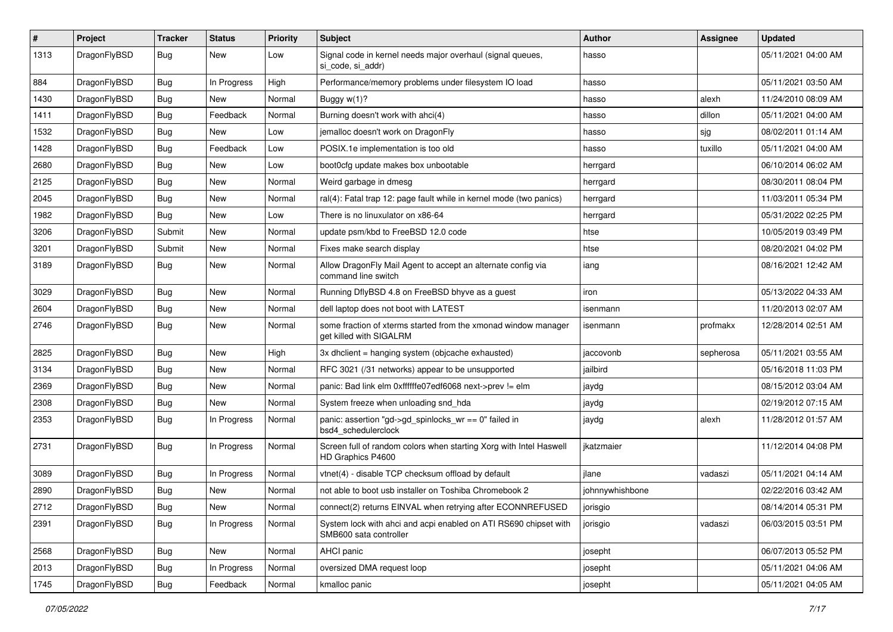| #    | Project      | <b>Tracker</b> | <b>Status</b> | <b>Priority</b> | Subject                                                                                    | <b>Author</b>   | <b>Assignee</b> | <b>Updated</b>      |
|------|--------------|----------------|---------------|-----------------|--------------------------------------------------------------------------------------------|-----------------|-----------------|---------------------|
| 1313 | DragonFlyBSD | <b>Bug</b>     | New           | Low             | Signal code in kernel needs major overhaul (signal queues,<br>si code, si addr)            | hasso           |                 | 05/11/2021 04:00 AM |
| 884  | DragonFlyBSD | <b>Bug</b>     | In Progress   | High            | Performance/memory problems under filesystem IO load                                       | hasso           |                 | 05/11/2021 03:50 AM |
| 1430 | DragonFlyBSD | <b>Bug</b>     | New           | Normal          | Buggy $w(1)$ ?                                                                             | hasso           | alexh           | 11/24/2010 08:09 AM |
| 1411 | DragonFlyBSD | <b>Bug</b>     | Feedback      | Normal          | Burning doesn't work with ahci(4)                                                          | hasso           | dillon          | 05/11/2021 04:00 AM |
| 1532 | DragonFlyBSD | <b>Bug</b>     | New           | Low             | jemalloc doesn't work on DragonFly                                                         | hasso           | sjg             | 08/02/2011 01:14 AM |
| 1428 | DragonFlyBSD | Bug            | Feedback      | Low             | POSIX.1e implementation is too old                                                         | hasso           | tuxillo         | 05/11/2021 04:00 AM |
| 2680 | DragonFlyBSD | <b>Bug</b>     | New           | Low             | boot0cfg update makes box unbootable                                                       | herrgard        |                 | 06/10/2014 06:02 AM |
| 2125 | DragonFlyBSD | <b>Bug</b>     | New           | Normal          | Weird garbage in dmesg                                                                     | herrgard        |                 | 08/30/2011 08:04 PM |
| 2045 | DragonFlyBSD | Bug            | <b>New</b>    | Normal          | ral(4): Fatal trap 12: page fault while in kernel mode (two panics)                        | herrgard        |                 | 11/03/2011 05:34 PM |
| 1982 | DragonFlyBSD | Bug            | New           | Low             | There is no linuxulator on x86-64                                                          | herrgard        |                 | 05/31/2022 02:25 PM |
| 3206 | DragonFlyBSD | Submit         | New           | Normal          | update psm/kbd to FreeBSD 12.0 code                                                        | htse            |                 | 10/05/2019 03:49 PM |
| 3201 | DragonFlyBSD | Submit         | New           | Normal          | Fixes make search display                                                                  | htse            |                 | 08/20/2021 04:02 PM |
| 3189 | DragonFlyBSD | Bug            | New           | Normal          | Allow DragonFly Mail Agent to accept an alternate config via<br>command line switch        | iang            |                 | 08/16/2021 12:42 AM |
| 3029 | DragonFlyBSD | Bug            | New           | Normal          | Running DflyBSD 4.8 on FreeBSD bhyve as a guest                                            | iron            |                 | 05/13/2022 04:33 AM |
| 2604 | DragonFlyBSD | Bug            | New           | Normal          | dell laptop does not boot with LATEST                                                      | isenmann        |                 | 11/20/2013 02:07 AM |
| 2746 | DragonFlyBSD | Bug            | <b>New</b>    | Normal          | some fraction of xterms started from the xmonad window manager<br>get killed with SIGALRM  | isenmann        | profmakx        | 12/28/2014 02:51 AM |
| 2825 | DragonFlyBSD | Bug            | <b>New</b>    | High            | 3x dhclient = hanging system (objcache exhausted)                                          | jaccovonb       | sepherosa       | 05/11/2021 03:55 AM |
| 3134 | DragonFlyBSD | Bug            | <b>New</b>    | Normal          | RFC 3021 (/31 networks) appear to be unsupported                                           | jailbird        |                 | 05/16/2018 11:03 PM |
| 2369 | DragonFlyBSD | Bug            | New           | Normal          | panic: Bad link elm 0xffffffe07edf6068 next->prev != elm                                   | jaydg           |                 | 08/15/2012 03:04 AM |
| 2308 | DragonFlyBSD | Bug            | New           | Normal          | System freeze when unloading snd_hda                                                       | jaydg           |                 | 02/19/2012 07:15 AM |
| 2353 | DragonFlyBSD | Bug            | In Progress   | Normal          | panic: assertion "gd->gd_spinlocks_wr == 0" failed in<br>bsd4_schedulerclock               | jaydg           | alexh           | 11/28/2012 01:57 AM |
| 2731 | DragonFlyBSD | <b>Bug</b>     | In Progress   | Normal          | Screen full of random colors when starting Xorg with Intel Haswell<br>HD Graphics P4600    | jkatzmaier      |                 | 11/12/2014 04:08 PM |
| 3089 | DragonFlyBSD | Bug            | In Progress   | Normal          | vtnet(4) - disable TCP checksum offload by default                                         | jlane           | vadaszi         | 05/11/2021 04:14 AM |
| 2890 | DragonFlyBSD | <b>Bug</b>     | New           | Normal          | not able to boot usb installer on Toshiba Chromebook 2                                     | johnnywhishbone |                 | 02/22/2016 03:42 AM |
| 2712 | DragonFlyBSD | <b>Bug</b>     | New           | Normal          | connect(2) returns EINVAL when retrying after ECONNREFUSED                                 | jorisgio        |                 | 08/14/2014 05:31 PM |
| 2391 | DragonFlyBSD | <b>Bug</b>     | In Progress   | Normal          | System lock with ahci and acpi enabled on ATI RS690 chipset with<br>SMB600 sata controller | jorisgio        | vadaszi         | 06/03/2015 03:51 PM |
| 2568 | DragonFlyBSD | <b>Bug</b>     | New           | Normal          | AHCI panic                                                                                 | josepht         |                 | 06/07/2013 05:52 PM |
| 2013 | DragonFlyBSD | Bug            | In Progress   | Normal          | oversized DMA request loop                                                                 | josepht         |                 | 05/11/2021 04:06 AM |
| 1745 | DragonFlyBSD | <b>Bug</b>     | Feedback      | Normal          | kmalloc panic                                                                              | josepht         |                 | 05/11/2021 04:05 AM |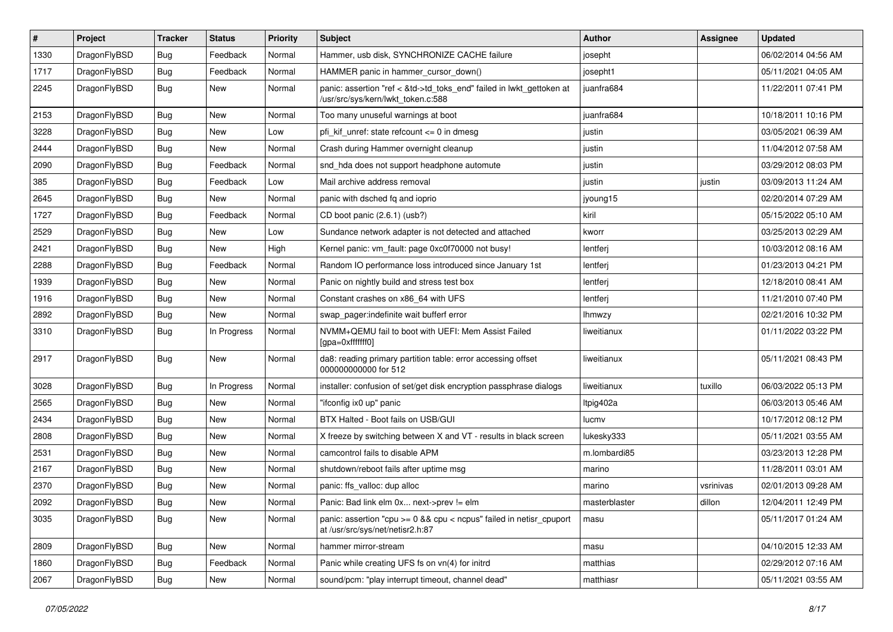| $\vert$ # | Project      | <b>Tracker</b> | <b>Status</b> | <b>Priority</b> | Subject                                                                                                    | Author        | Assignee  | <b>Updated</b>      |
|-----------|--------------|----------------|---------------|-----------------|------------------------------------------------------------------------------------------------------------|---------------|-----------|---------------------|
| 1330      | DragonFlyBSD | <b>Bug</b>     | Feedback      | Normal          | Hammer, usb disk, SYNCHRONIZE CACHE failure                                                                | josepht       |           | 06/02/2014 04:56 AM |
| 1717      | DragonFlyBSD | <b>Bug</b>     | Feedback      | Normal          | HAMMER panic in hammer_cursor_down()                                                                       | josepht1      |           | 05/11/2021 04:05 AM |
| 2245      | DragonFlyBSD | <b>Bug</b>     | New           | Normal          | panic: assertion "ref < &td->td_toks_end" failed in lwkt_gettoken at<br>/usr/src/sys/kern/lwkt_token.c:588 | juanfra684    |           | 11/22/2011 07:41 PM |
| 2153      | DragonFlyBSD | <b>Bug</b>     | <b>New</b>    | Normal          | Too many unuseful warnings at boot                                                                         | juanfra684    |           | 10/18/2011 10:16 PM |
| 3228      | DragonFlyBSD | <b>Bug</b>     | New           | Low             | pfi kif unref: state refcount $\leq$ 0 in dmesg                                                            | justin        |           | 03/05/2021 06:39 AM |
| 2444      | DragonFlyBSD | Bug            | <b>New</b>    | Normal          | Crash during Hammer overnight cleanup                                                                      | justin        |           | 11/04/2012 07:58 AM |
| 2090      | DragonFlyBSD | <b>Bug</b>     | Feedback      | Normal          | snd_hda does not support headphone automute                                                                | justin        |           | 03/29/2012 08:03 PM |
| 385       | DragonFlyBSD | <b>Bug</b>     | Feedback      | Low             | Mail archive address removal                                                                               | justin        | justin    | 03/09/2013 11:24 AM |
| 2645      | DragonFlyBSD | <b>Bug</b>     | New           | Normal          | panic with dsched fq and ioprio                                                                            | jyoung15      |           | 02/20/2014 07:29 AM |
| 1727      | DragonFlyBSD | <b>Bug</b>     | Feedback      | Normal          | CD boot panic (2.6.1) (usb?)                                                                               | kiril         |           | 05/15/2022 05:10 AM |
| 2529      | DragonFlyBSD | Bug            | <b>New</b>    | Low             | Sundance network adapter is not detected and attached                                                      | kworr         |           | 03/25/2013 02:29 AM |
| 2421      | DragonFlyBSD | Bug            | New           | High            | Kernel panic: vm_fault: page 0xc0f70000 not busy!                                                          | lentferj      |           | 10/03/2012 08:16 AM |
| 2288      | DragonFlyBSD | Bug            | Feedback      | Normal          | Random IO performance loss introduced since January 1st                                                    | lentferj      |           | 01/23/2013 04:21 PM |
| 1939      | DragonFlyBSD | <b>Bug</b>     | <b>New</b>    | Normal          | Panic on nightly build and stress test box                                                                 | lentferj      |           | 12/18/2010 08:41 AM |
| 1916      | DragonFlyBSD | <b>Bug</b>     | New           | Normal          | Constant crashes on x86_64 with UFS                                                                        | lentferj      |           | 11/21/2010 07:40 PM |
| 2892      | DragonFlyBSD | Bug            | New           | Normal          | swap pager:indefinite wait bufferf error                                                                   | <b>Ihmwzy</b> |           | 02/21/2016 10:32 PM |
| 3310      | DragonFlyBSD | Bug            | In Progress   | Normal          | NVMM+QEMU fail to boot with UEFI: Mem Assist Failed<br>[gpa=0xfffffff0]                                    | liweitianux   |           | 01/11/2022 03:22 PM |
| 2917      | DragonFlyBSD | Bug            | New           | Normal          | da8: reading primary partition table: error accessing offset<br>000000000000 for 512                       | liweitianux   |           | 05/11/2021 08:43 PM |
| 3028      | DragonFlyBSD | <b>Bug</b>     | In Progress   | Normal          | installer: confusion of set/get disk encryption passphrase dialogs                                         | liweitianux   | tuxillo   | 06/03/2022 05:13 PM |
| 2565      | DragonFlyBSD | <b>Bug</b>     | <b>New</b>    | Normal          | "ifconfig ix0 up" panic                                                                                    | Itpig402a     |           | 06/03/2013 05:46 AM |
| 2434      | DragonFlyBSD | <b>Bug</b>     | New           | Normal          | BTX Halted - Boot fails on USB/GUI                                                                         | lucmv         |           | 10/17/2012 08:12 PM |
| 2808      | DragonFlyBSD | Bug            | <b>New</b>    | Normal          | X freeze by switching between X and VT - results in black screen                                           | lukesky333    |           | 05/11/2021 03:55 AM |
| 2531      | DragonFlyBSD | Bug            | <b>New</b>    | Normal          | camcontrol fails to disable APM                                                                            | m.lombardi85  |           | 03/23/2013 12:28 PM |
| 2167      | DragonFlyBSD | <b>Bug</b>     | New           | Normal          | shutdown/reboot fails after uptime msg                                                                     | marino        |           | 11/28/2011 03:01 AM |
| 2370      | DragonFlyBSD | Bug            | <b>New</b>    | Normal          | panic: ffs_valloc: dup alloc                                                                               | marino        | vsrinivas | 02/01/2013 09:28 AM |
| 2092      | DragonFlyBSD | Bug            | New           | Normal          | Panic: Bad link elm 0x next->prev $!=$ elm                                                                 | masterblaster | dillon    | 12/04/2011 12:49 PM |
| 3035      | DragonFlyBSD | Bug            | New           | Normal          | panic: assertion "cpu >= 0 && cpu < ncpus" failed in netisr_cpuport<br>at /usr/src/sys/net/netisr2.h:87    | masu          |           | 05/11/2017 01:24 AM |
| 2809      | DragonFlyBSD | <b>Bug</b>     | New           | Normal          | hammer mirror-stream                                                                                       | masu          |           | 04/10/2015 12:33 AM |
| 1860      | DragonFlyBSD | <b>Bug</b>     | Feedback      | Normal          | Panic while creating UFS fs on vn(4) for initrd                                                            | matthias      |           | 02/29/2012 07:16 AM |
| 2067      | DragonFlyBSD | <b>Bug</b>     | New           | Normal          | sound/pcm: "play interrupt timeout, channel dead"                                                          | matthiasr     |           | 05/11/2021 03:55 AM |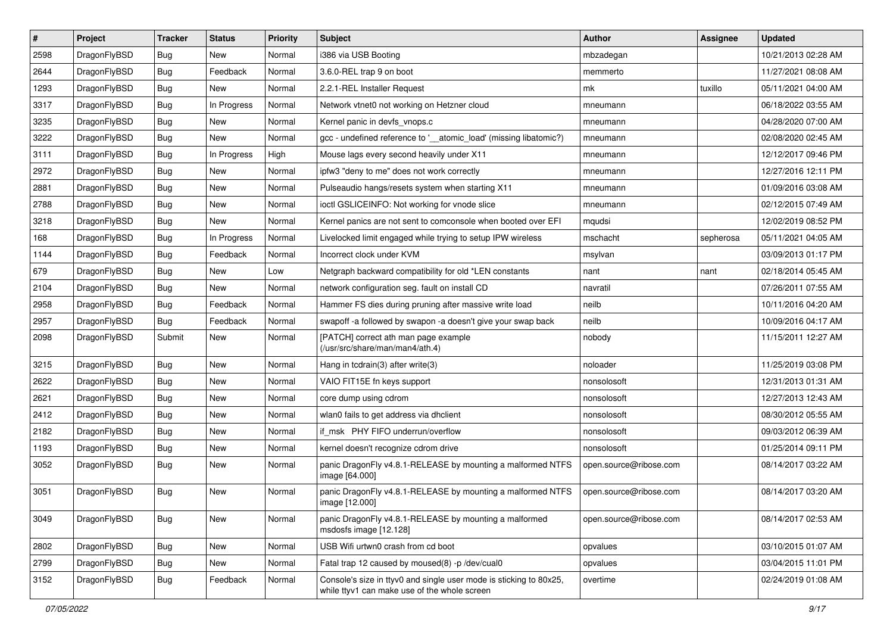| $\sharp$ | Project      | <b>Tracker</b> | <b>Status</b> | <b>Priority</b> | Subject                                                                                                            | <b>Author</b>          | Assignee  | <b>Updated</b>      |
|----------|--------------|----------------|---------------|-----------------|--------------------------------------------------------------------------------------------------------------------|------------------------|-----------|---------------------|
| 2598     | DragonFlyBSD | Bug            | New           | Normal          | i386 via USB Booting                                                                                               | mbzadegan              |           | 10/21/2013 02:28 AM |
| 2644     | DragonFlyBSD | Bug            | Feedback      | Normal          | 3.6.0-REL trap 9 on boot                                                                                           | memmerto               |           | 11/27/2021 08:08 AM |
| 1293     | DragonFlyBSD | Bug            | New           | Normal          | 2.2.1-REL Installer Request                                                                                        | mk                     | tuxillo   | 05/11/2021 04:00 AM |
| 3317     | DragonFlyBSD | Bug            | In Progress   | Normal          | Network vtnet0 not working on Hetzner cloud                                                                        | mneumann               |           | 06/18/2022 03:55 AM |
| 3235     | DragonFlyBSD | Bug            | <b>New</b>    | Normal          | Kernel panic in devfs vnops.c                                                                                      | mneumann               |           | 04/28/2020 07:00 AM |
| 3222     | DragonFlyBSD | Bug            | New           | Normal          | gcc - undefined reference to ' atomic load' (missing libatomic?)                                                   | mneumann               |           | 02/08/2020 02:45 AM |
| 3111     | DragonFlyBSD | Bug            | In Progress   | High            | Mouse lags every second heavily under X11                                                                          | mneumann               |           | 12/12/2017 09:46 PM |
| 2972     | DragonFlyBSD | Bug            | New           | Normal          | ipfw3 "deny to me" does not work correctly                                                                         | mneumann               |           | 12/27/2016 12:11 PM |
| 2881     | DragonFlyBSD | Bug            | <b>New</b>    | Normal          | Pulseaudio hangs/resets system when starting X11                                                                   | mneumann               |           | 01/09/2016 03:08 AM |
| 2788     | DragonFlyBSD | Bug            | New           | Normal          | ioctl GSLICEINFO: Not working for vnode slice                                                                      | mneumann               |           | 02/12/2015 07:49 AM |
| 3218     | DragonFlyBSD | Bug            | New           | Normal          | Kernel panics are not sent to comconsole when booted over EFI                                                      | mqudsi                 |           | 12/02/2019 08:52 PM |
| 168      | DragonFlyBSD | Bug            | In Progress   | Normal          | Livelocked limit engaged while trying to setup IPW wireless                                                        | mschacht               | sepherosa | 05/11/2021 04:05 AM |
| 1144     | DragonFlyBSD | Bug            | Feedback      | Normal          | Incorrect clock under KVM                                                                                          | msylvan                |           | 03/09/2013 01:17 PM |
| 679      | DragonFlyBSD | Bug            | New           | Low             | Netgraph backward compatibility for old *LEN constants                                                             | nant                   | nant      | 02/18/2014 05:45 AM |
| 2104     | DragonFlyBSD | Bug            | New           | Normal          | network configuration seg. fault on install CD                                                                     | navratil               |           | 07/26/2011 07:55 AM |
| 2958     | DragonFlyBSD | Bug            | Feedback      | Normal          | Hammer FS dies during pruning after massive write load                                                             | neilb                  |           | 10/11/2016 04:20 AM |
| 2957     | DragonFlyBSD | Bug            | Feedback      | Normal          | swapoff -a followed by swapon -a doesn't give your swap back                                                       | neilb                  |           | 10/09/2016 04:17 AM |
| 2098     | DragonFlyBSD | Submit         | New           | Normal          | [PATCH] correct ath man page example<br>(/usr/src/share/man/man4/ath.4)                                            | nobody                 |           | 11/15/2011 12:27 AM |
| 3215     | DragonFlyBSD | Bug            | <b>New</b>    | Normal          | Hang in tcdrain(3) after write(3)                                                                                  | noloader               |           | 11/25/2019 03:08 PM |
| 2622     | DragonFlyBSD | Bug            | New           | Normal          | VAIO FIT15E fn keys support                                                                                        | nonsolosoft            |           | 12/31/2013 01:31 AM |
| 2621     | DragonFlyBSD | Bug            | <b>New</b>    | Normal          | core dump using cdrom                                                                                              | nonsolosoft            |           | 12/27/2013 12:43 AM |
| 2412     | DragonFlyBSD | Bug            | <b>New</b>    | Normal          | wlan0 fails to get address via dhclient                                                                            | nonsolosoft            |           | 08/30/2012 05:55 AM |
| 2182     | DragonFlyBSD | Bug            | New           | Normal          | if msk PHY FIFO underrun/overflow                                                                                  | nonsolosoft            |           | 09/03/2012 06:39 AM |
| 1193     | DragonFlyBSD | Bug            | New           | Normal          | kernel doesn't recognize cdrom drive                                                                               | nonsolosoft            |           | 01/25/2014 09:11 PM |
| 3052     | DragonFlyBSD | Bug            | New           | Normal          | panic DragonFly v4.8.1-RELEASE by mounting a malformed NTFS<br>image [64.000]                                      | open.source@ribose.com |           | 08/14/2017 03:22 AM |
| 3051     | DragonFlyBSD | Bug            | <b>New</b>    | Normal          | panic DragonFly v4.8.1-RELEASE by mounting a malformed NTFS<br>image [12.000]                                      | open.source@ribose.com |           | 08/14/2017 03:20 AM |
| 3049     | DragonFlyBSD | <b>Bug</b>     | New           | Normal          | panic DragonFly v4.8.1-RELEASE by mounting a malformed<br>msdosfs image [12.128]                                   | open.source@ribose.com |           | 08/14/2017 02:53 AM |
| 2802     | DragonFlyBSD | Bug            | New           | Normal          | USB Wifi urtwn0 crash from cd boot                                                                                 | opvalues               |           | 03/10/2015 01:07 AM |
| 2799     | DragonFlyBSD | <b>Bug</b>     | New           | Normal          | Fatal trap 12 caused by moused(8) -p /dev/cual0                                                                    | opvalues               |           | 03/04/2015 11:01 PM |
| 3152     | DragonFlyBSD | <b>Bug</b>     | Feedback      | Normal          | Console's size in ttyv0 and single user mode is sticking to 80x25,<br>while ttyv1 can make use of the whole screen | overtime               |           | 02/24/2019 01:08 AM |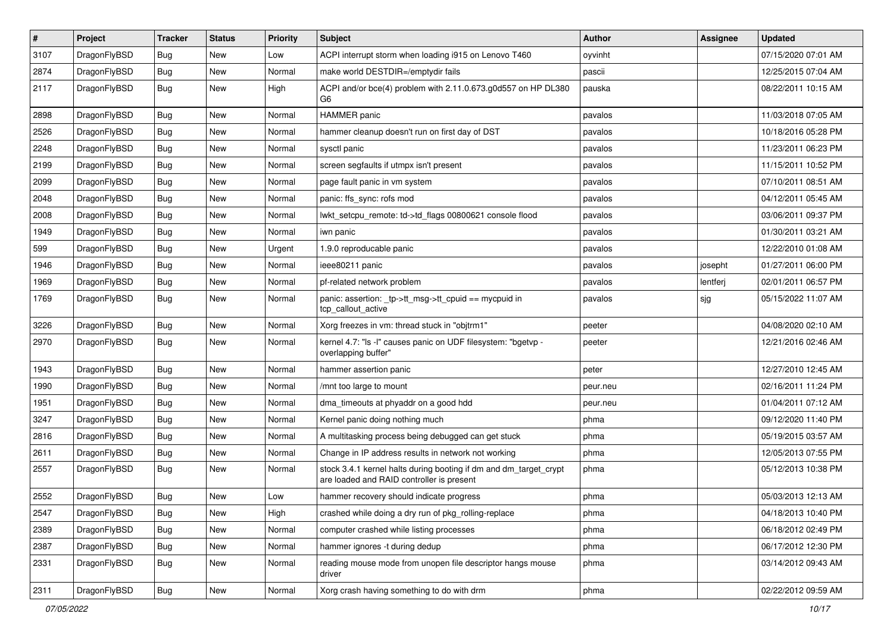| $\vert$ # | Project      | <b>Tracker</b> | <b>Status</b> | <b>Priority</b> | Subject                                                                                                        | <b>Author</b> | <b>Assignee</b> | <b>Updated</b>      |
|-----------|--------------|----------------|---------------|-----------------|----------------------------------------------------------------------------------------------------------------|---------------|-----------------|---------------------|
| 3107      | DragonFlyBSD | Bug            | New           | Low             | ACPI interrupt storm when loading i915 on Lenovo T460                                                          | oyvinht       |                 | 07/15/2020 07:01 AM |
| 2874      | DragonFlyBSD | Bug            | <b>New</b>    | Normal          | make world DESTDIR=/emptydir fails                                                                             | pascii        |                 | 12/25/2015 07:04 AM |
| 2117      | DragonFlyBSD | Bug            | New           | High            | ACPI and/or bce(4) problem with 2.11.0.673.g0d557 on HP DL380<br>G6                                            | pauska        |                 | 08/22/2011 10:15 AM |
| 2898      | DragonFlyBSD | Bug            | <b>New</b>    | Normal          | <b>HAMMER</b> panic                                                                                            | pavalos       |                 | 11/03/2018 07:05 AM |
| 2526      | DragonFlyBSD | Bug            | New           | Normal          | hammer cleanup doesn't run on first day of DST                                                                 | pavalos       |                 | 10/18/2016 05:28 PM |
| 2248      | DragonFlyBSD | Bug            | <b>New</b>    | Normal          | sysctl panic                                                                                                   | pavalos       |                 | 11/23/2011 06:23 PM |
| 2199      | DragonFlyBSD | Bug            | New           | Normal          | screen segfaults if utmpx isn't present                                                                        | pavalos       |                 | 11/15/2011 10:52 PM |
| 2099      | DragonFlyBSD | Bug            | <b>New</b>    | Normal          | page fault panic in vm system                                                                                  | pavalos       |                 | 07/10/2011 08:51 AM |
| 2048      | DragonFlyBSD | Bug            | <b>New</b>    | Normal          | panic: ffs_sync: rofs mod                                                                                      | pavalos       |                 | 04/12/2011 05:45 AM |
| 2008      | DragonFlyBSD | <b>Bug</b>     | <b>New</b>    | Normal          | lwkt setcpu remote: td->td flags 00800621 console flood                                                        | pavalos       |                 | 03/06/2011 09:37 PM |
| 1949      | DragonFlyBSD | Bug            | <b>New</b>    | Normal          | iwn panic                                                                                                      | pavalos       |                 | 01/30/2011 03:21 AM |
| 599       | DragonFlyBSD | Bug            | New           | Urgent          | 1.9.0 reproducable panic                                                                                       | pavalos       |                 | 12/22/2010 01:08 AM |
| 1946      | DragonFlyBSD | Bug            | New           | Normal          | ieee80211 panic                                                                                                | pavalos       | josepht         | 01/27/2011 06:00 PM |
| 1969      | DragonFlyBSD | Bug            | New           | Normal          | pf-related network problem                                                                                     | pavalos       | lentferj        | 02/01/2011 06:57 PM |
| 1769      | DragonFlyBSD | Bug            | New           | Normal          | panic: assertion: _tp->tt_msg->tt_cpuid == mycpuid in<br>tcp_callout_active                                    | pavalos       | sjg             | 05/15/2022 11:07 AM |
| 3226      | DragonFlyBSD | Bug            | New           | Normal          | Xorg freezes in vm: thread stuck in "objtrm1"                                                                  | peeter        |                 | 04/08/2020 02:10 AM |
| 2970      | DragonFlyBSD | Bug            | New           | Normal          | kernel 4.7: "Is -I" causes panic on UDF filesystem: "bgetvp -<br>overlapping buffer"                           | peeter        |                 | 12/21/2016 02:46 AM |
| 1943      | DragonFlyBSD | Bug            | <b>New</b>    | Normal          | hammer assertion panic                                                                                         | peter         |                 | 12/27/2010 12:45 AM |
| 1990      | DragonFlyBSD | Bug            | New           | Normal          | /mnt too large to mount                                                                                        | peur.neu      |                 | 02/16/2011 11:24 PM |
| 1951      | DragonFlyBSD | Bug            | <b>New</b>    | Normal          | dma timeouts at phyaddr on a good hdd                                                                          | peur.neu      |                 | 01/04/2011 07:12 AM |
| 3247      | DragonFlyBSD | Bug            | <b>New</b>    | Normal          | Kernel panic doing nothing much                                                                                | phma          |                 | 09/12/2020 11:40 PM |
| 2816      | DragonFlyBSD | <b>Bug</b>     | <b>New</b>    | Normal          | A multitasking process being debugged can get stuck                                                            | phma          |                 | 05/19/2015 03:57 AM |
| 2611      | DragonFlyBSD | Bug            | <b>New</b>    | Normal          | Change in IP address results in network not working                                                            | phma          |                 | 12/05/2013 07:55 PM |
| 2557      | DragonFlyBSD | Bug            | New           | Normal          | stock 3.4.1 kernel halts during booting if dm and dm_target_crypt<br>are loaded and RAID controller is present | phma          |                 | 05/12/2013 10:38 PM |
| 2552      | DragonFlyBSD | Bug            | New           | Low             | hammer recovery should indicate progress                                                                       | phma          |                 | 05/03/2013 12:13 AM |
| 2547      | DragonFlyBSD | <b>Bug</b>     | New           | High            | crashed while doing a dry run of pkg_rolling-replace                                                           | phma          |                 | 04/18/2013 10:40 PM |
| 2389      | DragonFlyBSD | Bug            | New           | Normal          | computer crashed while listing processes                                                                       | phma          |                 | 06/18/2012 02:49 PM |
| 2387      | DragonFlyBSD | <b>Bug</b>     | New           | Normal          | hammer ignores -t during dedup                                                                                 | phma          |                 | 06/17/2012 12:30 PM |
| 2331      | DragonFlyBSD | Bug            | New           | Normal          | reading mouse mode from unopen file descriptor hangs mouse<br>driver                                           | phma          |                 | 03/14/2012 09:43 AM |
| 2311      | DragonFlyBSD | Bug            | New           | Normal          | Xorg crash having something to do with drm                                                                     | phma          |                 | 02/22/2012 09:59 AM |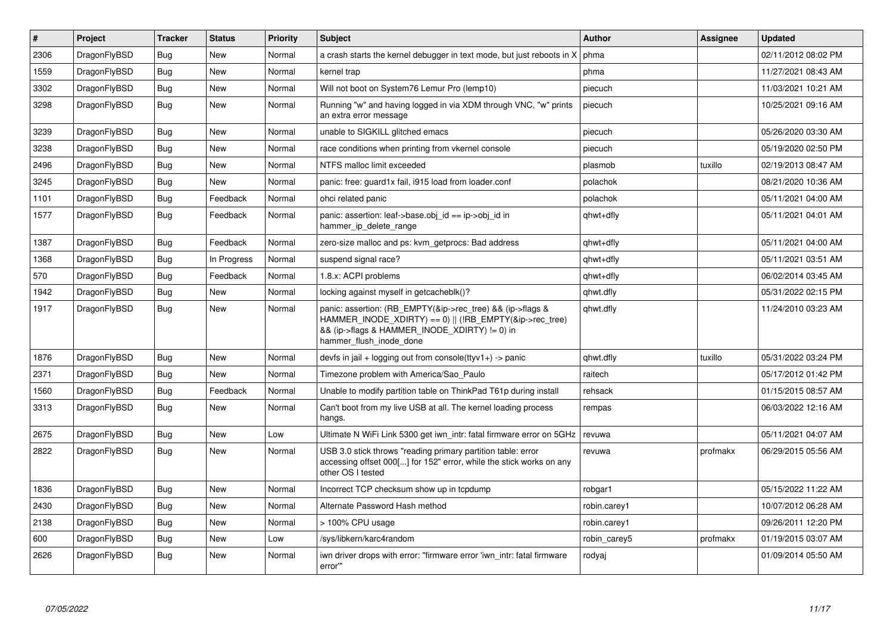| $\vert$ # | Project      | <b>Tracker</b> | <b>Status</b> | <b>Priority</b> | <b>Subject</b>                                                                                                                                                                                    | <b>Author</b> | Assignee | <b>Updated</b>      |
|-----------|--------------|----------------|---------------|-----------------|---------------------------------------------------------------------------------------------------------------------------------------------------------------------------------------------------|---------------|----------|---------------------|
| 2306      | DragonFlyBSD | <b>Bug</b>     | <b>New</b>    | Normal          | a crash starts the kernel debugger in text mode, but just reboots in X                                                                                                                            | phma          |          | 02/11/2012 08:02 PM |
| 1559      | DragonFlyBSD | Bug            | <b>New</b>    | Normal          | kernel trap                                                                                                                                                                                       | phma          |          | 11/27/2021 08:43 AM |
| 3302      | DragonFlyBSD | Bug            | <b>New</b>    | Normal          | Will not boot on System76 Lemur Pro (lemp10)                                                                                                                                                      | piecuch       |          | 11/03/2021 10:21 AM |
| 3298      | DragonFlyBSD | <b>Bug</b>     | <b>New</b>    | Normal          | Running "w" and having logged in via XDM through VNC, "w" prints<br>an extra error message                                                                                                        | piecuch       |          | 10/25/2021 09:16 AM |
| 3239      | DragonFlyBSD | Bug            | <b>New</b>    | Normal          | unable to SIGKILL glitched emacs                                                                                                                                                                  | piecuch       |          | 05/26/2020 03:30 AM |
| 3238      | DragonFlyBSD | <b>Bug</b>     | <b>New</b>    | Normal          | race conditions when printing from vkernel console                                                                                                                                                | piecuch       |          | 05/19/2020 02:50 PM |
| 2496      | DragonFlyBSD | <b>Bug</b>     | <b>New</b>    | Normal          | NTFS malloc limit exceeded                                                                                                                                                                        | plasmob       | tuxillo  | 02/19/2013 08:47 AM |
| 3245      | DragonFlyBSD | Bug            | <b>New</b>    | Normal          | panic: free: guard1x fail, i915 load from loader.conf                                                                                                                                             | polachok      |          | 08/21/2020 10:36 AM |
| 1101      | DragonFlyBSD | <b>Bug</b>     | Feedback      | Normal          | ohci related panic                                                                                                                                                                                | polachok      |          | 05/11/2021 04:00 AM |
| 1577      | DragonFlyBSD | Bug            | Feedback      | Normal          | panic: assertion: leaf->base.obj id == ip->obj id in<br>hammer_ip_delete_range                                                                                                                    | qhwt+dfly     |          | 05/11/2021 04:01 AM |
| 1387      | DragonFlyBSD | <b>Bug</b>     | Feedback      | Normal          | zero-size malloc and ps: kvm getprocs: Bad address                                                                                                                                                | qhwt+dfly     |          | 05/11/2021 04:00 AM |
| 1368      | DragonFlyBSD | <b>Bug</b>     | In Progress   | Normal          | suspend signal race?                                                                                                                                                                              | qhwt+dfly     |          | 05/11/2021 03:51 AM |
| 570       | DragonFlyBSD | <b>Bug</b>     | Feedback      | Normal          | 1.8.x: ACPI problems                                                                                                                                                                              | qhwt+dfly     |          | 06/02/2014 03:45 AM |
| 1942      | DragonFlyBSD | Bug            | <b>New</b>    | Normal          | locking against myself in getcacheblk()?                                                                                                                                                          | qhwt.dfly     |          | 05/31/2022 02:15 PM |
| 1917      | DragonFlyBSD | <b>Bug</b>     | <b>New</b>    | Normal          | panic: assertion: (RB_EMPTY(&ip->rec_tree) && (ip->flags &<br>HAMMER_INODE_XDIRTY) == 0)    (!RB_EMPTY(&ip->rec_tree)<br>&& (ip->flags & HAMMER INODE XDIRTY) != 0) in<br>hammer flush inode done | qhwt.dfly     |          | 11/24/2010 03:23 AM |
| 1876      | DragonFlyBSD | <b>Bug</b>     | <b>New</b>    | Normal          | devfs in jail + logging out from console(ttyv1+) -> panic                                                                                                                                         | qhwt.dfly     | tuxillo  | 05/31/2022 03:24 PM |
| 2371      | DragonFlyBSD | <b>Bug</b>     | <b>New</b>    | Normal          | Timezone problem with America/Sao Paulo                                                                                                                                                           | raitech       |          | 05/17/2012 01:42 PM |
| 1560      | DragonFlyBSD | Bug            | Feedback      | Normal          | Unable to modify partition table on ThinkPad T61p during install                                                                                                                                  | rehsack       |          | 01/15/2015 08:57 AM |
| 3313      | DragonFlyBSD | <b>Bug</b>     | <b>New</b>    | Normal          | Can't boot from my live USB at all. The kernel loading process<br>hangs.                                                                                                                          | rempas        |          | 06/03/2022 12:16 AM |
| 2675      | DragonFlyBSD | Bug            | <b>New</b>    | Low             | Ultimate N WiFi Link 5300 get iwn intr: fatal firmware error on 5GHz                                                                                                                              | revuwa        |          | 05/11/2021 04:07 AM |
| 2822      | DragonFlyBSD | <b>Bug</b>     | <b>New</b>    | Normal          | USB 3.0 stick throws "reading primary partition table: error<br>accessing offset 000[] for 152" error, while the stick works on any<br>other OS I tested                                          | revuwa        | profmakx | 06/29/2015 05:56 AM |
| 1836      | DragonFlyBSD | Bug            | <b>New</b>    | Normal          | Incorrect TCP checksum show up in tcpdump                                                                                                                                                         | robgar1       |          | 05/15/2022 11:22 AM |
| 2430      | DragonFlyBSD | Bug            | <b>New</b>    | Normal          | Alternate Password Hash method                                                                                                                                                                    | robin.carey1  |          | 10/07/2012 06:28 AM |
| 2138      | DragonFlyBSD | <b>Bug</b>     | <b>New</b>    | Normal          | > 100% CPU usage                                                                                                                                                                                  | robin.carey1  |          | 09/26/2011 12:20 PM |
| 600       | DragonFlyBSD | <b>Bug</b>     | <b>New</b>    | Low             | /sys/libkern/karc4random                                                                                                                                                                          | robin carey5  | profmakx | 01/19/2015 03:07 AM |
| 2626      | DragonFlyBSD | Bug            | <b>New</b>    | Normal          | iwn driver drops with error: "firmware error 'iwn intr: fatal firmware<br>error""                                                                                                                 | rodyaj        |          | 01/09/2014 05:50 AM |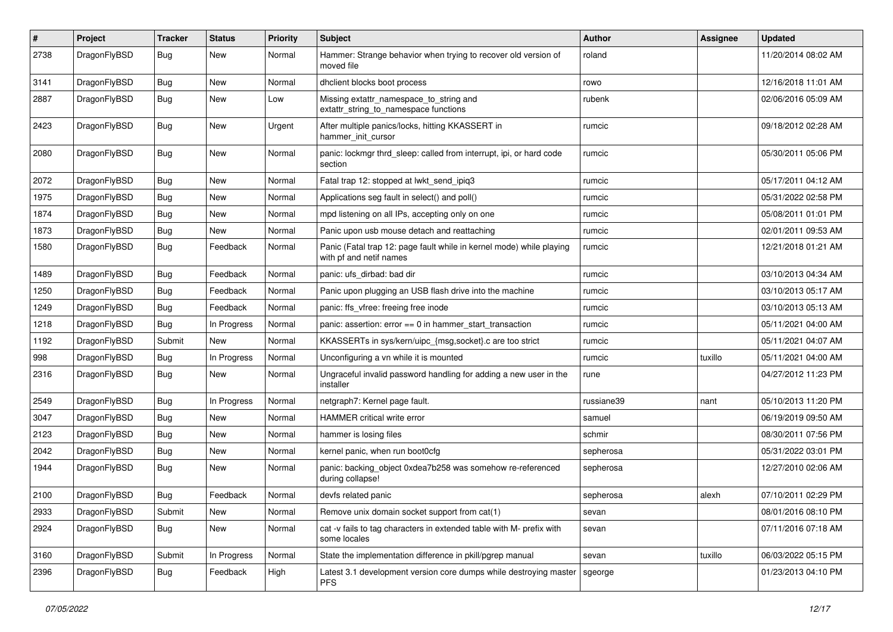| #    | Project      | <b>Tracker</b> | <b>Status</b> | <b>Priority</b> | Subject                                                                                         | <b>Author</b> | Assignee | <b>Updated</b>      |
|------|--------------|----------------|---------------|-----------------|-------------------------------------------------------------------------------------------------|---------------|----------|---------------------|
| 2738 | DragonFlyBSD | Bug            | New           | Normal          | Hammer: Strange behavior when trying to recover old version of<br>moved file                    | roland        |          | 11/20/2014 08:02 AM |
| 3141 | DragonFlyBSD | <b>Bug</b>     | New           | Normal          | dhclient blocks boot process                                                                    | rowo          |          | 12/16/2018 11:01 AM |
| 2887 | DragonFlyBSD | <b>Bug</b>     | <b>New</b>    | Low             | Missing extattr_namespace_to_string and<br>extattr_string_to_namespace functions                | rubenk        |          | 02/06/2016 05:09 AM |
| 2423 | DragonFlyBSD | Bug            | New           | Urgent          | After multiple panics/locks, hitting KKASSERT in<br>hammer_init_cursor                          | rumcic        |          | 09/18/2012 02:28 AM |
| 2080 | DragonFlyBSD | <b>Bug</b>     | New           | Normal          | panic: lockmgr thrd_sleep: called from interrupt, ipi, or hard code<br>section                  | rumcic        |          | 05/30/2011 05:06 PM |
| 2072 | DragonFlyBSD | Bug            | <b>New</b>    | Normal          | Fatal trap 12: stopped at lwkt_send_ipiq3                                                       | rumcic        |          | 05/17/2011 04:12 AM |
| 1975 | DragonFlyBSD | <b>Bug</b>     | New           | Normal          | Applications seg fault in select() and poll()                                                   | rumcic        |          | 05/31/2022 02:58 PM |
| 1874 | DragonFlyBSD | <b>Bug</b>     | New           | Normal          | mpd listening on all IPs, accepting only on one                                                 | rumcic        |          | 05/08/2011 01:01 PM |
| 1873 | DragonFlyBSD | Bug            | New           | Normal          | Panic upon usb mouse detach and reattaching                                                     | rumcic        |          | 02/01/2011 09:53 AM |
| 1580 | DragonFlyBSD | <b>Bug</b>     | Feedback      | Normal          | Panic (Fatal trap 12: page fault while in kernel mode) while playing<br>with pf and netif names | rumcic        |          | 12/21/2018 01:21 AM |
| 1489 | DragonFlyBSD | Bug            | Feedback      | Normal          | panic: ufs_dirbad: bad dir                                                                      | rumcic        |          | 03/10/2013 04:34 AM |
| 1250 | DragonFlyBSD | <b>Bug</b>     | Feedback      | Normal          | Panic upon plugging an USB flash drive into the machine                                         | rumcic        |          | 03/10/2013 05:17 AM |
| 1249 | DragonFlyBSD | Bug            | Feedback      | Normal          | panic: ffs vfree: freeing free inode                                                            | rumcic        |          | 03/10/2013 05:13 AM |
| 1218 | DragonFlyBSD | <b>Bug</b>     | In Progress   | Normal          | panic: assertion: $error == 0$ in hammer start transaction                                      | rumcic        |          | 05/11/2021 04:00 AM |
| 1192 | DragonFlyBSD | Submit         | <b>New</b>    | Normal          | KKASSERTs in sys/kern/uipc_{msg,socket}.c are too strict                                        | rumcic        |          | 05/11/2021 04:07 AM |
| 998  | DragonFlyBSD | Bug            | In Progress   | Normal          | Unconfiguring a vn while it is mounted                                                          | rumcic        | tuxillo  | 05/11/2021 04:00 AM |
| 2316 | DragonFlyBSD | <b>Bug</b>     | <b>New</b>    | Normal          | Ungraceful invalid password handling for adding a new user in the<br>installer                  | rune          |          | 04/27/2012 11:23 PM |
| 2549 | DragonFlyBSD | Bug            | In Progress   | Normal          | netgraph7: Kernel page fault.                                                                   | russiane39    | nant     | 05/10/2013 11:20 PM |
| 3047 | DragonFlyBSD | <b>Bug</b>     | New           | Normal          | HAMMER critical write error                                                                     | samuel        |          | 06/19/2019 09:50 AM |
| 2123 | DragonFlyBSD | Bug            | New           | Normal          | hammer is losing files                                                                          | schmir        |          | 08/30/2011 07:56 PM |
| 2042 | DragonFlyBSD | <b>Bug</b>     | New           | Normal          | kernel panic, when run boot0cfg                                                                 | sepherosa     |          | 05/31/2022 03:01 PM |
| 1944 | DragonFlyBSD | <b>Bug</b>     | New           | Normal          | panic: backing object 0xdea7b258 was somehow re-referenced<br>during collapse!                  | sepherosa     |          | 12/27/2010 02:06 AM |
| 2100 | DragonFlyBSD | Bug            | Feedback      | Normal          | devfs related panic                                                                             | sepherosa     | alexh    | 07/10/2011 02:29 PM |
| 2933 | DragonFlyBSD | Submit         | New           | Normal          | Remove unix domain socket support from cat(1)                                                   | sevan         |          | 08/01/2016 08:10 PM |
| 2924 | DragonFlyBSD | <b>Bug</b>     | New           | Normal          | cat -v fails to tag characters in extended table with M- prefix with<br>some locales            | sevan         |          | 07/11/2016 07:18 AM |
| 3160 | DragonFlyBSD | Submit         | In Progress   | Normal          | State the implementation difference in pkill/pgrep manual                                       | sevan         | tuxillo  | 06/03/2022 05:15 PM |
| 2396 | DragonFlyBSD | <b>Bug</b>     | Feedback      | High            | Latest 3.1 development version core dumps while destroying master<br><b>PFS</b>                 | sgeorge       |          | 01/23/2013 04:10 PM |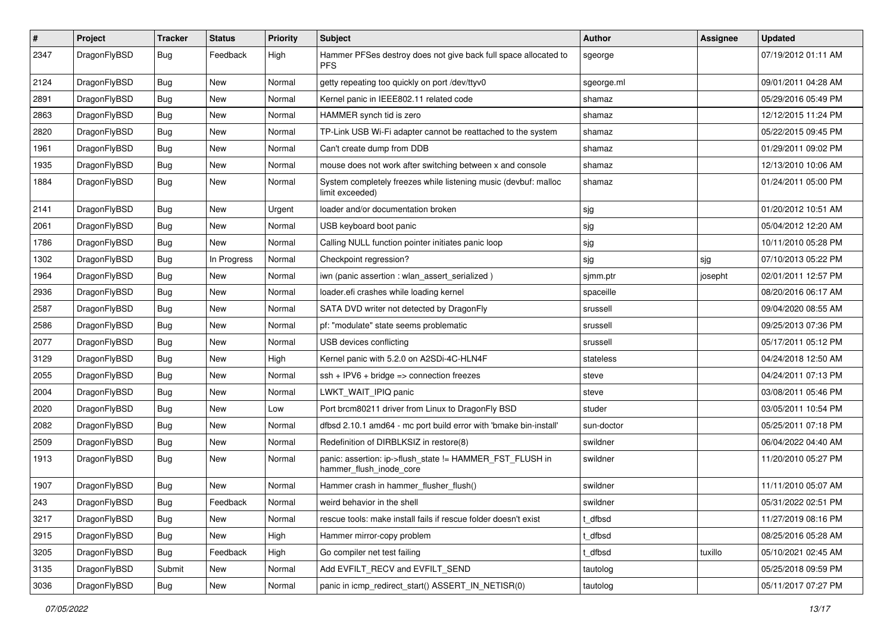| $\sharp$ | Project      | <b>Tracker</b> | <b>Status</b> | <b>Priority</b> | Subject                                                                             | Author     | Assignee | <b>Updated</b>      |
|----------|--------------|----------------|---------------|-----------------|-------------------------------------------------------------------------------------|------------|----------|---------------------|
| 2347     | DragonFlyBSD | Bug            | Feedback      | High            | Hammer PFSes destroy does not give back full space allocated to<br><b>PFS</b>       | sgeorge    |          | 07/19/2012 01:11 AM |
| 2124     | DragonFlyBSD | <b>Bug</b>     | <b>New</b>    | Normal          | getty repeating too quickly on port /dev/ttyv0                                      | sgeorge.ml |          | 09/01/2011 04:28 AM |
| 2891     | DragonFlyBSD | <b>Bug</b>     | New           | Normal          | Kernel panic in IEEE802.11 related code                                             | shamaz     |          | 05/29/2016 05:49 PM |
| 2863     | DragonFlyBSD | Bug            | <b>New</b>    | Normal          | HAMMER synch tid is zero                                                            | shamaz     |          | 12/12/2015 11:24 PM |
| 2820     | DragonFlyBSD | <b>Bug</b>     | <b>New</b>    | Normal          | TP-Link USB Wi-Fi adapter cannot be reattached to the system                        | shamaz     |          | 05/22/2015 09:45 PM |
| 1961     | DragonFlyBSD | <b>Bug</b>     | <b>New</b>    | Normal          | Can't create dump from DDB                                                          | shamaz     |          | 01/29/2011 09:02 PM |
| 1935     | DragonFlyBSD | <b>Bug</b>     | New           | Normal          | mouse does not work after switching between x and console                           | shamaz     |          | 12/13/2010 10:06 AM |
| 1884     | DragonFlyBSD | <b>Bug</b>     | New           | Normal          | System completely freezes while listening music (devbuf: malloc<br>limit exceeded)  | shamaz     |          | 01/24/2011 05:00 PM |
| 2141     | DragonFlyBSD | Bug            | <b>New</b>    | Urgent          | loader and/or documentation broken                                                  | sjg        |          | 01/20/2012 10:51 AM |
| 2061     | DragonFlyBSD | <b>Bug</b>     | New           | Normal          | USB keyboard boot panic                                                             | sjg        |          | 05/04/2012 12:20 AM |
| 1786     | DragonFlyBSD | <b>Bug</b>     | <b>New</b>    | Normal          | Calling NULL function pointer initiates panic loop                                  | sjg        |          | 10/11/2010 05:28 PM |
| 1302     | DragonFlyBSD | <b>Bug</b>     | In Progress   | Normal          | Checkpoint regression?                                                              | sjg        | sjg      | 07/10/2013 05:22 PM |
| 1964     | DragonFlyBSD | <b>Bug</b>     | <b>New</b>    | Normal          | iwn (panic assertion : wlan_assert_serialized)                                      | sjmm.ptr   | josepht  | 02/01/2011 12:57 PM |
| 2936     | DragonFlyBSD | <b>Bug</b>     | New           | Normal          | loader.efi crashes while loading kernel                                             | spaceille  |          | 08/20/2016 06:17 AM |
| 2587     | DragonFlyBSD | <b>Bug</b>     | <b>New</b>    | Normal          | SATA DVD writer not detected by DragonFly                                           | srussell   |          | 09/04/2020 08:55 AM |
| 2586     | DragonFlyBSD | Bug            | <b>New</b>    | Normal          | pf: "modulate" state seems problematic                                              | srussell   |          | 09/25/2013 07:36 PM |
| 2077     | DragonFlyBSD | <b>Bug</b>     | New           | Normal          | USB devices conflicting                                                             | srussell   |          | 05/17/2011 05:12 PM |
| 3129     | DragonFlyBSD | <b>Bug</b>     | <b>New</b>    | High            | Kernel panic with 5.2.0 on A2SDi-4C-HLN4F                                           | stateless  |          | 04/24/2018 12:50 AM |
| 2055     | DragonFlyBSD | <b>Bug</b>     | New           | Normal          | $ssh + IPV6 + bridge \Rightarrow connection freezes$                                | steve      |          | 04/24/2011 07:13 PM |
| 2004     | DragonFlyBSD | <b>Bug</b>     | New           | Normal          | LWKT_WAIT_IPIQ panic                                                                | steve      |          | 03/08/2011 05:46 PM |
| 2020     | DragonFlyBSD | Bug            | <b>New</b>    | Low             | Port brcm80211 driver from Linux to DragonFly BSD                                   | studer     |          | 03/05/2011 10:54 PM |
| 2082     | DragonFlyBSD | <b>Bug</b>     | <b>New</b>    | Normal          | dfbsd 2.10.1 amd64 - mc port build error with 'bmake bin-install'                   | sun-doctor |          | 05/25/2011 07:18 PM |
| 2509     | DragonFlyBSD | <b>Bug</b>     | <b>New</b>    | Normal          | Redefinition of DIRBLKSIZ in restore(8)                                             | swildner   |          | 06/04/2022 04:40 AM |
| 1913     | DragonFlyBSD | Bug            | New           | Normal          | panic: assertion: ip->flush_state != HAMMER_FST_FLUSH in<br>hammer_flush_inode_core | swildner   |          | 11/20/2010 05:27 PM |
| 1907     | DragonFlyBSD | <b>Bug</b>     | <b>New</b>    | Normal          | Hammer crash in hammer_flusher_flush()                                              | swildner   |          | 11/11/2010 05:07 AM |
| 243      | DragonFlyBSD | Bug            | Feedback      | Normal          | weird behavior in the shell                                                         | swildner   |          | 05/31/2022 02:51 PM |
| 3217     | DragonFlyBSD | <b>Bug</b>     | New           | Normal          | rescue tools: make install fails if rescue folder doesn't exist                     | t dfbsd    |          | 11/27/2019 08:16 PM |
| 2915     | DragonFlyBSD | Bug            | New           | High            | Hammer mirror-copy problem                                                          | t_dfbsd    |          | 08/25/2016 05:28 AM |
| 3205     | DragonFlyBSD | Bug            | Feedback      | High            | Go compiler net test failing                                                        | t dfbsd    | tuxillo  | 05/10/2021 02:45 AM |
| 3135     | DragonFlyBSD | Submit         | New           | Normal          | Add EVFILT_RECV and EVFILT_SEND                                                     | tautolog   |          | 05/25/2018 09:59 PM |
| 3036     | DragonFlyBSD | Bug            | New           | Normal          | panic in icmp redirect start() ASSERT IN NETISR(0)                                  | tautolog   |          | 05/11/2017 07:27 PM |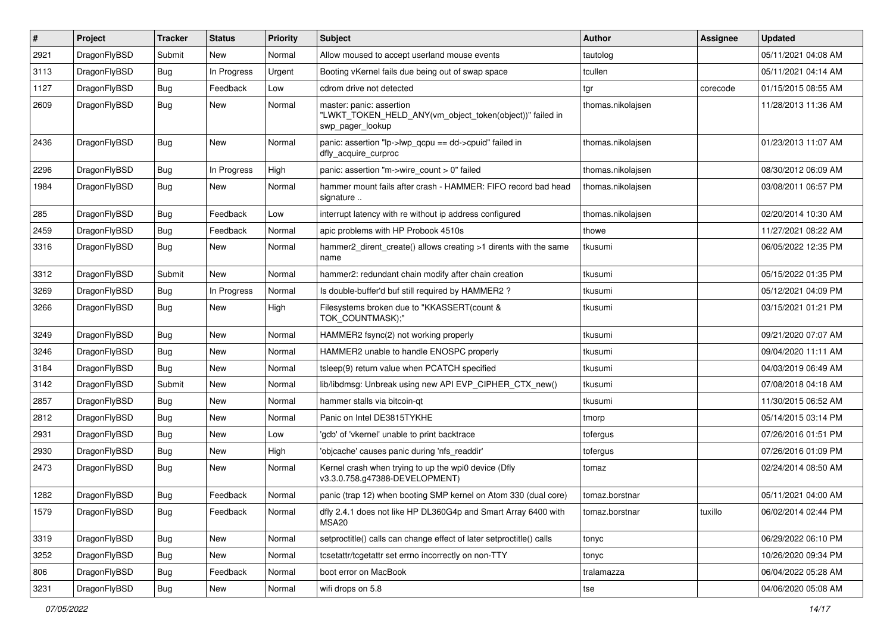| #    | Project      | <b>Tracker</b> | <b>Status</b> | <b>Priority</b> | Subject                                                                                                  | <b>Author</b>     | <b>Assignee</b> | <b>Updated</b>      |
|------|--------------|----------------|---------------|-----------------|----------------------------------------------------------------------------------------------------------|-------------------|-----------------|---------------------|
| 2921 | DragonFlyBSD | Submit         | <b>New</b>    | Normal          | Allow moused to accept userland mouse events                                                             | tautolog          |                 | 05/11/2021 04:08 AM |
| 3113 | DragonFlyBSD | Bug            | In Progress   | Urgent          | Booting vKernel fails due being out of swap space                                                        | tcullen           |                 | 05/11/2021 04:14 AM |
| 1127 | DragonFlyBSD | <b>Bug</b>     | Feedback      | Low             | cdrom drive not detected                                                                                 | tgr               | corecode        | 01/15/2015 08:55 AM |
| 2609 | DragonFlyBSD | Bug            | New           | Normal          | master: panic: assertion<br>"LWKT_TOKEN_HELD_ANY(vm_object_token(object))" failed in<br>swp pager lookup | thomas.nikolajsen |                 | 11/28/2013 11:36 AM |
| 2436 | DragonFlyBSD | Bug            | <b>New</b>    | Normal          | panic: assertion "lp->lwp_qcpu == dd->cpuid" failed in<br>dfly_acquire_curproc                           | thomas.nikolajsen |                 | 01/23/2013 11:07 AM |
| 2296 | DragonFlyBSD | <b>Bug</b>     | In Progress   | High            | panic: assertion "m->wire_count > 0" failed                                                              | thomas.nikolajsen |                 | 08/30/2012 06:09 AM |
| 1984 | DragonFlyBSD | Bug            | New           | Normal          | hammer mount fails after crash - HAMMER: FIFO record bad head<br>signature                               | thomas.nikolajsen |                 | 03/08/2011 06:57 PM |
| 285  | DragonFlyBSD | Bug            | Feedback      | Low             | interrupt latency with re without ip address configured                                                  | thomas.nikolajsen |                 | 02/20/2014 10:30 AM |
| 2459 | DragonFlyBSD | <b>Bug</b>     | Feedback      | Normal          | apic problems with HP Probook 4510s                                                                      | thowe             |                 | 11/27/2021 08:22 AM |
| 3316 | DragonFlyBSD | Bug            | New           | Normal          | hammer2 dirent create() allows creating >1 dirents with the same<br>name                                 | tkusumi           |                 | 06/05/2022 12:35 PM |
| 3312 | DragonFlyBSD | Submit         | New           | Normal          | hammer2: redundant chain modify after chain creation                                                     | tkusumi           |                 | 05/15/2022 01:35 PM |
| 3269 | DragonFlyBSD | Bug            | In Progress   | Normal          | Is double-buffer'd buf still required by HAMMER2 ?                                                       | tkusumi           |                 | 05/12/2021 04:09 PM |
| 3266 | DragonFlyBSD | Bug            | New           | High            | Filesystems broken due to "KKASSERT(count &<br>TOK_COUNTMASK);"                                          | tkusumi           |                 | 03/15/2021 01:21 PM |
| 3249 | DragonFlyBSD | <b>Bug</b>     | <b>New</b>    | Normal          | HAMMER2 fsync(2) not working properly                                                                    | tkusumi           |                 | 09/21/2020 07:07 AM |
| 3246 | DragonFlyBSD | <b>Bug</b>     | <b>New</b>    | Normal          | HAMMER2 unable to handle ENOSPC properly                                                                 | tkusumi           |                 | 09/04/2020 11:11 AM |
| 3184 | DragonFlyBSD | <b>Bug</b>     | <b>New</b>    | Normal          | tsleep(9) return value when PCATCH specified                                                             | tkusumi           |                 | 04/03/2019 06:49 AM |
| 3142 | DragonFlyBSD | Submit         | <b>New</b>    | Normal          | lib/libdmsg: Unbreak using new API EVP_CIPHER_CTX_new()                                                  | tkusumi           |                 | 07/08/2018 04:18 AM |
| 2857 | DragonFlyBSD | <b>Bug</b>     | <b>New</b>    | Normal          | hammer stalls via bitcoin-qt                                                                             | tkusumi           |                 | 11/30/2015 06:52 AM |
| 2812 | DragonFlyBSD | Bug            | <b>New</b>    | Normal          | Panic on Intel DE3815TYKHE                                                                               | tmorp             |                 | 05/14/2015 03:14 PM |
| 2931 | DragonFlyBSD | <b>Bug</b>     | <b>New</b>    | Low             | 'gdb' of 'vkernel' unable to print backtrace                                                             | tofergus          |                 | 07/26/2016 01:51 PM |
| 2930 | DragonFlyBSD | Bug            | <b>New</b>    | High            | 'objcache' causes panic during 'nfs_readdir'                                                             | tofergus          |                 | 07/26/2016 01:09 PM |
| 2473 | DragonFlyBSD | Bug            | <b>New</b>    | Normal          | Kernel crash when trying to up the wpi0 device (Dfly<br>v3.3.0.758.g47388-DEVELOPMENT)                   | tomaz             |                 | 02/24/2014 08:50 AM |
| 1282 | DragonFlyBSD | <b>Bug</b>     | Feedback      | Normal          | panic (trap 12) when booting SMP kernel on Atom 330 (dual core)                                          | tomaz.borstnar    |                 | 05/11/2021 04:00 AM |
| 1579 | DragonFlyBSD | <b>Bug</b>     | Feedback      | Normal          | dfly 2.4.1 does not like HP DL360G4p and Smart Array 6400 with<br>MSA20                                  | tomaz.borstnar    | tuxillo         | 06/02/2014 02:44 PM |
| 3319 | DragonFlyBSD | <b>Bug</b>     | New           | Normal          | setproctitle() calls can change effect of later setproctitle() calls                                     | tonyc             |                 | 06/29/2022 06:10 PM |
| 3252 | DragonFlyBSD | Bug            | New           | Normal          | tcsetattr/tcgetattr set errno incorrectly on non-TTY                                                     | tonyc             |                 | 10/26/2020 09:34 PM |
| 806  | DragonFlyBSD | <b>Bug</b>     | Feedback      | Normal          | boot error on MacBook                                                                                    | tralamazza        |                 | 06/04/2022 05:28 AM |
| 3231 | DragonFlyBSD | <b>Bug</b>     | New           | Normal          | wifi drops on 5.8                                                                                        | tse               |                 | 04/06/2020 05:08 AM |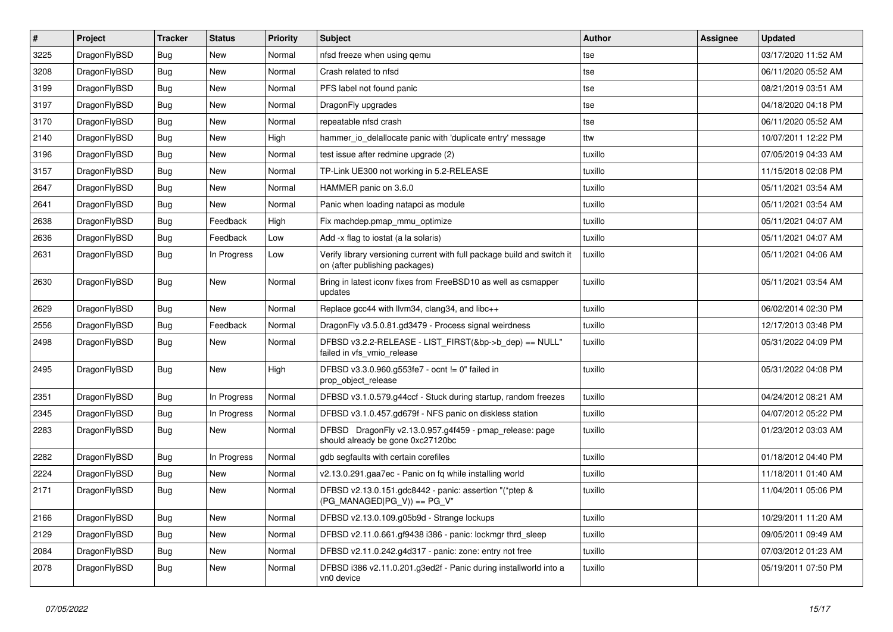| $\vert$ # | Project      | <b>Tracker</b> | <b>Status</b> | <b>Priority</b> | Subject                                                                                                   | <b>Author</b> | Assignee | <b>Updated</b>      |
|-----------|--------------|----------------|---------------|-----------------|-----------------------------------------------------------------------------------------------------------|---------------|----------|---------------------|
| 3225      | DragonFlyBSD | <b>Bug</b>     | New           | Normal          | nfsd freeze when using qemu                                                                               | tse           |          | 03/17/2020 11:52 AM |
| 3208      | DragonFlyBSD | Bug            | <b>New</b>    | Normal          | Crash related to nfsd                                                                                     | tse           |          | 06/11/2020 05:52 AM |
| 3199      | DragonFlyBSD | <b>Bug</b>     | New           | Normal          | PFS label not found panic                                                                                 | tse           |          | 08/21/2019 03:51 AM |
| 3197      | DragonFlyBSD | <b>Bug</b>     | New           | Normal          | DragonFly upgrades                                                                                        | tse           |          | 04/18/2020 04:18 PM |
| 3170      | DragonFlyBSD | Bug            | <b>New</b>    | Normal          | repeatable nfsd crash                                                                                     | tse           |          | 06/11/2020 05:52 AM |
| 2140      | DragonFlyBSD | <b>Bug</b>     | <b>New</b>    | High            | hammer io delallocate panic with 'duplicate entry' message                                                | ttw           |          | 10/07/2011 12:22 PM |
| 3196      | DragonFlyBSD | <b>Bug</b>     | <b>New</b>    | Normal          | test issue after redmine upgrade (2)                                                                      | tuxillo       |          | 07/05/2019 04:33 AM |
| 3157      | DragonFlyBSD | <b>Bug</b>     | New           | Normal          | TP-Link UE300 not working in 5.2-RELEASE                                                                  | tuxillo       |          | 11/15/2018 02:08 PM |
| 2647      | DragonFlyBSD | <b>Bug</b>     | New           | Normal          | HAMMER panic on 3.6.0                                                                                     | tuxillo       |          | 05/11/2021 03:54 AM |
| 2641      | DragonFlyBSD | Bug            | New           | Normal          | Panic when loading natapci as module                                                                      | tuxillo       |          | 05/11/2021 03:54 AM |
| 2638      | DragonFlyBSD | Bug            | Feedback      | High            | Fix machdep.pmap_mmu_optimize                                                                             | tuxillo       |          | 05/11/2021 04:07 AM |
| 2636      | DragonFlyBSD | Bug            | Feedback      | Low             | Add -x flag to iostat (a la solaris)                                                                      | tuxillo       |          | 05/11/2021 04:07 AM |
| 2631      | DragonFlyBSD | Bug            | In Progress   | Low             | Verify library versioning current with full package build and switch it<br>on (after publishing packages) | tuxillo       |          | 05/11/2021 04:06 AM |
| 2630      | DragonFlyBSD | Bug            | New           | Normal          | Bring in latest iconv fixes from FreeBSD10 as well as csmapper<br>updates                                 | tuxillo       |          | 05/11/2021 03:54 AM |
| 2629      | DragonFlyBSD | Bug            | New           | Normal          | Replace gcc44 with llvm34, clang34, and libc++                                                            | tuxillo       |          | 06/02/2014 02:30 PM |
| 2556      | DragonFlyBSD | Bug            | Feedback      | Normal          | DragonFly v3.5.0.81.gd3479 - Process signal weirdness                                                     | tuxillo       |          | 12/17/2013 03:48 PM |
| 2498      | DragonFlyBSD | Bug            | New           | Normal          | DFBSD v3.2.2-RELEASE - LIST_FIRST(&bp->b_dep) == NULL"<br>failed in vfs_vmio_release                      | tuxillo       |          | 05/31/2022 04:09 PM |
| 2495      | DragonFlyBSD | Bug            | New           | High            | DFBSD v3.3.0.960.g553fe7 - ocnt != 0" failed in<br>prop_object_release                                    | tuxillo       |          | 05/31/2022 04:08 PM |
| 2351      | DragonFlyBSD | Bug            | In Progress   | Normal          | DFBSD v3.1.0.579.g44ccf - Stuck during startup, random freezes                                            | tuxillo       |          | 04/24/2012 08:21 AM |
| 2345      | DragonFlyBSD | Bug            | In Progress   | Normal          | DFBSD v3.1.0.457.gd679f - NFS panic on diskless station                                                   | tuxillo       |          | 04/07/2012 05:22 PM |
| 2283      | DragonFlyBSD | Bug            | New           | Normal          | DFBSD DragonFly v2.13.0.957.g4f459 - pmap_release: page<br>should already be gone 0xc27120bc              | tuxillo       |          | 01/23/2012 03:03 AM |
| 2282      | DragonFlyBSD | Bug            | In Progress   | Normal          | gdb segfaults with certain corefiles                                                                      | tuxillo       |          | 01/18/2012 04:40 PM |
| 2224      | DragonFlyBSD | Bug            | <b>New</b>    | Normal          | v2.13.0.291.gaa7ec - Panic on fq while installing world                                                   | tuxillo       |          | 11/18/2011 01:40 AM |
| 2171      | DragonFlyBSD | Bug            | New           | Normal          | DFBSD v2.13.0.151.gdc8442 - panic: assertion "(*ptep &<br>$(PG_MANAGED PG_V)) == PG_V"$                   | tuxillo       |          | 11/04/2011 05:06 PM |
| 2166      | DragonFlyBSD | Bug            | New           | Normal          | DFBSD v2.13.0.109.g05b9d - Strange lockups                                                                | tuxillo       |          | 10/29/2011 11:20 AM |
| 2129      | DragonFlyBSD | Bug            | New           | Normal          | DFBSD v2.11.0.661.gf9438 i386 - panic: lockmgr thrd_sleep                                                 | tuxillo       |          | 09/05/2011 09:49 AM |
| 2084      | DragonFlyBSD | <b>Bug</b>     | New           | Normal          | DFBSD v2.11.0.242.g4d317 - panic: zone: entry not free                                                    | tuxillo       |          | 07/03/2012 01:23 AM |
| 2078      | DragonFlyBSD | <b>Bug</b>     | New           | Normal          | DFBSD i386 v2.11.0.201.g3ed2f - Panic during installworld into a<br>vn0 device                            | tuxillo       |          | 05/19/2011 07:50 PM |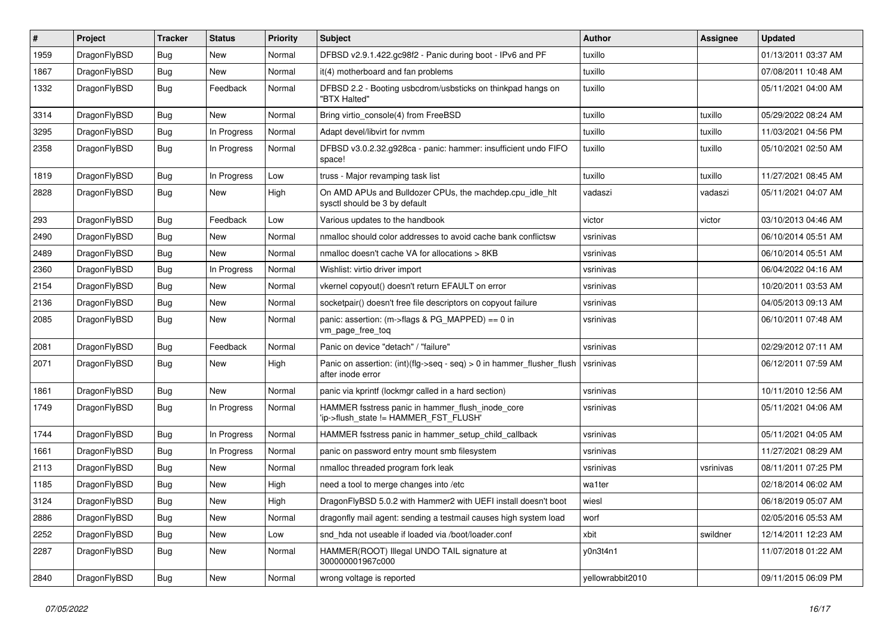| $\#$ | Project      | <b>Tracker</b> | <b>Status</b> | <b>Priority</b> | <b>Subject</b>                                                                             | <b>Author</b>    | Assignee  | <b>Updated</b>      |
|------|--------------|----------------|---------------|-----------------|--------------------------------------------------------------------------------------------|------------------|-----------|---------------------|
| 1959 | DragonFlyBSD | <b>Bug</b>     | <b>New</b>    | Normal          | DFBSD v2.9.1.422.gc98f2 - Panic during boot - IPv6 and PF                                  | tuxillo          |           | 01/13/2011 03:37 AM |
| 1867 | DragonFlyBSD | <b>Bug</b>     | New           | Normal          | it(4) motherboard and fan problems                                                         | tuxillo          |           | 07/08/2011 10:48 AM |
| 1332 | DragonFlyBSD | Bug            | Feedback      | Normal          | DFBSD 2.2 - Booting usbcdrom/usbsticks on thinkpad hangs on<br>"BTX Halted"                | tuxillo          |           | 05/11/2021 04:00 AM |
| 3314 | DragonFlyBSD | Bug            | New           | Normal          | Bring virtio_console(4) from FreeBSD                                                       | tuxillo          | tuxillo   | 05/29/2022 08:24 AM |
| 3295 | DragonFlyBSD | <b>Bug</b>     | In Progress   | Normal          | Adapt devel/libvirt for nvmm                                                               | tuxillo          | tuxillo   | 11/03/2021 04:56 PM |
| 2358 | DragonFlyBSD | Bug            | In Progress   | Normal          | DFBSD v3.0.2.32.g928ca - panic: hammer: insufficient undo FIFO<br>space!                   | tuxillo          | tuxillo   | 05/10/2021 02:50 AM |
| 1819 | DragonFlyBSD | <b>Bug</b>     | In Progress   | Low             | truss - Major revamping task list                                                          | tuxillo          | tuxillo   | 11/27/2021 08:45 AM |
| 2828 | DragonFlyBSD | <b>Bug</b>     | New           | High            | On AMD APUs and Bulldozer CPUs, the machdep.cpu_idle_hlt<br>sysctl should be 3 by default  | vadaszi          | vadaszi   | 05/11/2021 04:07 AM |
| 293  | DragonFlyBSD | <b>Bug</b>     | Feedback      | Low             | Various updates to the handbook                                                            | victor           | victor    | 03/10/2013 04:46 AM |
| 2490 | DragonFlyBSD | <b>Bug</b>     | <b>New</b>    | Normal          | nmalloc should color addresses to avoid cache bank conflictsw                              | vsrinivas        |           | 06/10/2014 05:51 AM |
| 2489 | DragonFlyBSD | Bug            | New           | Normal          | nmalloc doesn't cache VA for allocations > 8KB                                             | vsrinivas        |           | 06/10/2014 05:51 AM |
| 2360 | DragonFlyBSD | <b>Bug</b>     | In Progress   | Normal          | Wishlist: virtio driver import                                                             | vsrinivas        |           | 06/04/2022 04:16 AM |
| 2154 | DragonFlyBSD | Bug            | New           | Normal          | vkernel copyout() doesn't return EFAULT on error                                           | vsrinivas        |           | 10/20/2011 03:53 AM |
| 2136 | DragonFlyBSD | Bug            | New           | Normal          | socketpair() doesn't free file descriptors on copyout failure                              | vsrinivas        |           | 04/05/2013 09:13 AM |
| 2085 | DragonFlyBSD | Bug            | New           | Normal          | panic: assertion: (m->flags & PG_MAPPED) == 0 in<br>vm_page_free_toq                       | vsrinivas        |           | 06/10/2011 07:48 AM |
| 2081 | DragonFlyBSD | Bug            | Feedback      | Normal          | Panic on device "detach" / "failure"                                                       | vsrinivas        |           | 02/29/2012 07:11 AM |
| 2071 | DragonFlyBSD | Bug            | New           | High            | Panic on assertion: (int)(flg->seq - seq) > 0 in hammer_flusher_flush<br>after inode error | vsrinivas        |           | 06/12/2011 07:59 AM |
| 1861 | DragonFlyBSD | <b>Bug</b>     | New           | Normal          | panic via kprintf (lockmgr called in a hard section)                                       | vsrinivas        |           | 10/11/2010 12:56 AM |
| 1749 | DragonFlyBSD | <b>Bug</b>     | In Progress   | Normal          | HAMMER fsstress panic in hammer_flush_inode_core<br>'ip->flush_state != HAMMER_FST_FLUSH'  | vsrinivas        |           | 05/11/2021 04:06 AM |
| 1744 | DragonFlyBSD | <b>Bug</b>     | In Progress   | Normal          | HAMMER fsstress panic in hammer_setup_child_callback                                       | vsrinivas        |           | 05/11/2021 04:05 AM |
| 1661 | DragonFlyBSD | Bug            | In Progress   | Normal          | panic on password entry mount smb filesystem                                               | vsrinivas        |           | 11/27/2021 08:29 AM |
| 2113 | DragonFlyBSD | Bug            | New           | Normal          | nmalloc threaded program fork leak                                                         | vsrinivas        | vsrinivas | 08/11/2011 07:25 PM |
| 1185 | DragonFlyBSD | <b>Bug</b>     | New           | High            | need a tool to merge changes into /etc                                                     | wa1ter           |           | 02/18/2014 06:02 AM |
| 3124 | DragonFlyBSD | Bug            | New           | High            | DragonFlyBSD 5.0.2 with Hammer2 with UEFI install doesn't boot                             | wiesl            |           | 06/18/2019 05:07 AM |
| 2886 | DragonFlyBSD | Bug            | New           | Normal          | dragonfly mail agent: sending a testmail causes high system load                           | worf             |           | 02/05/2016 05:53 AM |
| 2252 | DragonFlyBSD | <b>Bug</b>     | New           | Low             | snd_hda not useable if loaded via /boot/loader.conf                                        | xbit             | swildner  | 12/14/2011 12:23 AM |
| 2287 | DragonFlyBSD | <b>Bug</b>     | New           | Normal          | HAMMER(ROOT) Illegal UNDO TAIL signature at<br>300000001967c000                            | y0n3t4n1         |           | 11/07/2018 01:22 AM |
| 2840 | DragonFlyBSD | <b>Bug</b>     | New           | Normal          | wrong voltage is reported                                                                  | yellowrabbit2010 |           | 09/11/2015 06:09 PM |